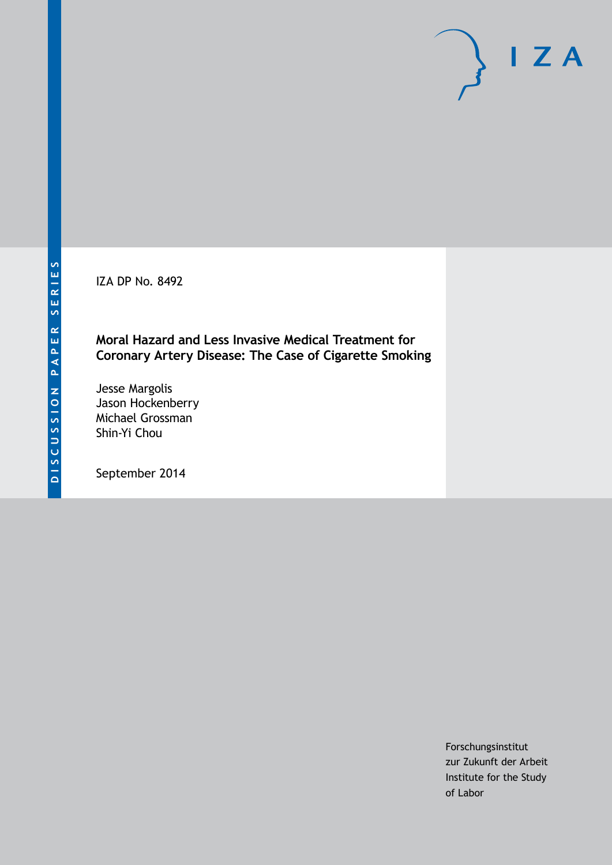IZA DP No. 8492

**Moral Hazard and Less Invasive Medical Treatment for Coronary Artery Disease: The Case of Cigarette Smoking**

Jesse Margolis Jason Hockenberry Michael Grossman Shin-Yi Chou

September 2014

Forschungsinstitut zur Zukunft der Arbeit Institute for the Study of Labor

 $I Z A$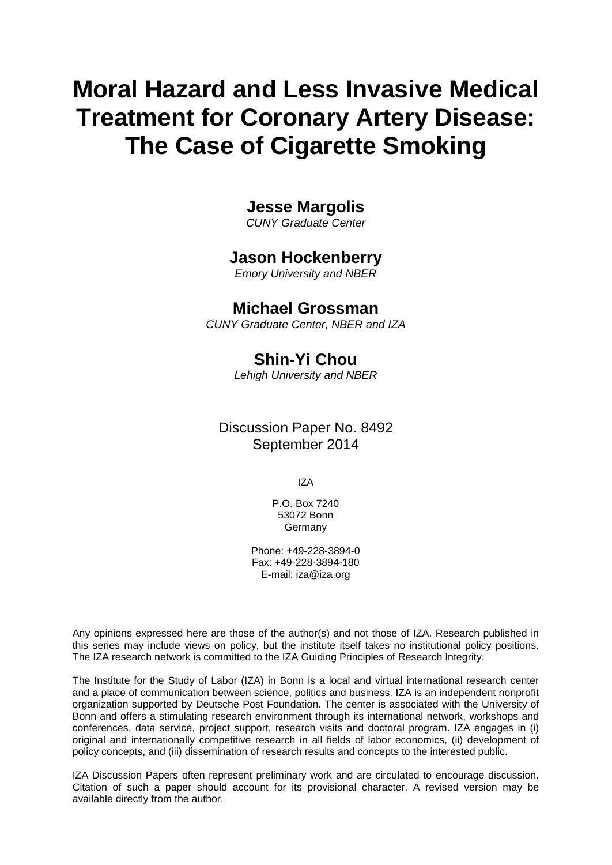# **Moral Hazard and Less Invasive Medical Treatment for Coronary Artery Disease: The Case of Cigarette Smoking**

### **Jesse Margolis**

*CUNY Graduate Center*

### **Jason Hockenberry**

*Emory University and NBER*

### **Michael Grossman**

*CUNY Graduate Center, NBER and IZA*

### **Shin-Yi Chou**

*Lehigh University and NBER*

### Discussion Paper No. 8492 September 2014

IZA

P.O. Box 7240 53072 Bonn Germany

Phone: +49-228-3894-0 Fax: +49-228-3894-180 E-mail: [iza@iza.org](mailto:iza@iza.org)

Any opinions expressed here are those of the author(s) and not those of IZA. Research published in this series may include views on policy, but the institute itself takes no institutional policy positions. The IZA research network is committed to the IZA Guiding Principles of Research Integrity.

<span id="page-1-0"></span>The Institute for the Study of Labor (IZA) in Bonn is a local and virtual international research center and a place of communication between science, politics and business. IZA is an independent nonprofit organization supported by Deutsche Post Foundation. The center is associated with the University of Bonn and offers a stimulating research environment through its international network, workshops and conferences, data service, project support, research visits and doctoral program. IZA engages in (i) original and internationally competitive research in all fields of labor economics, (ii) development of policy concepts, and (iii) dissemination of research results and concepts to the interested public.

IZA Discussion Papers often represent preliminary work and are circulated to encourage discussion. Citation of such a paper should account for its provisional character. A revised version may be available directly from the author.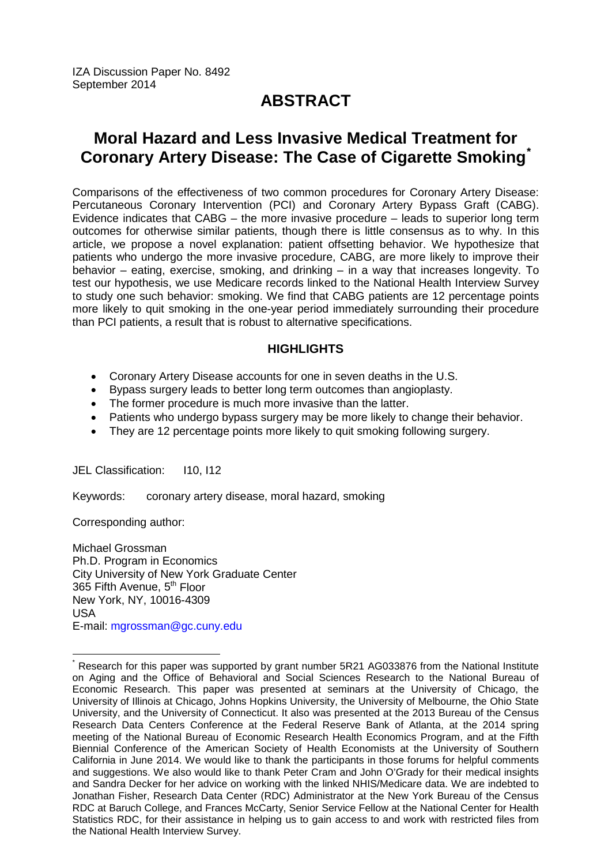# **ABSTRACT**

# **Moral Hazard and Less Invasive Medical Treatment for Coronary Artery Disease: The Case of Cigarette Smoking[\\*](#page-1-0)**

Comparisons of the effectiveness of two common procedures for Coronary Artery Disease: Percutaneous Coronary Intervention (PCI) and Coronary Artery Bypass Graft (CABG). Evidence indicates that CABG – the more invasive procedure – leads to superior long term outcomes for otherwise similar patients, though there is little consensus as to why. In this article, we propose a novel explanation: patient offsetting behavior. We hypothesize that patients who undergo the more invasive procedure, CABG, are more likely to improve their behavior – eating, exercise, smoking, and drinking – in a way that increases longevity. To test our hypothesis, we use Medicare records linked to the National Health Interview Survey to study one such behavior: smoking. We find that CABG patients are 12 percentage points more likely to quit smoking in the one-year period immediately surrounding their procedure than PCI patients, a result that is robust to alternative specifications.

#### **HIGHLIGHTS**

- Coronary Artery Disease accounts for one in seven deaths in the U.S.
- Bypass surgery leads to better long term outcomes than angioplasty.
- The former procedure is much more invasive than the latter.
- Patients who undergo bypass surgery may be more likely to change their behavior.
- They are 12 percentage points more likely to quit smoking following surgery.

JEL Classification: I10, I12

Keywords: coronary artery disease, moral hazard, smoking

Corresponding author:

Michael Grossman Ph.D. Program in Economics City University of New York Graduate Center 365 Fifth Avenue, 5<sup>th</sup> Floor New York, NY, 10016-4309 USA E-mail: [mgrossman@gc.cuny.edu](mailto:mgrossman@gc.cuny.edu)

Research for this paper was supported by grant number 5R21 AG033876 from the National Institute on Aging and the Office of Behavioral and Social Sciences Research to the National Bureau of Economic Research. This paper was presented at seminars at the University of Chicago, the University of Illinois at Chicago, Johns Hopkins University, the University of Melbourne, the Ohio State University, and the University of Connecticut. It also was presented at the 2013 Bureau of the Census Research Data Centers Conference at the Federal Reserve Bank of Atlanta, at the 2014 spring meeting of the National Bureau of Economic Research Health Economics Program, and at the Fifth Biennial Conference of the American Society of Health Economists at the University of Southern California in June 2014. We would like to thank the participants in those forums for helpful comments and suggestions. We also would like to thank Peter Cram and John O'Grady for their medical insights and Sandra Decker for her advice on working with the linked NHIS/Medicare data. We are indebted to Jonathan Fisher, Research Data Center (RDC) Administrator at the New York Bureau of the Census RDC at Baruch College, and Frances McCarty, Senior Service Fellow at the National Center for Health Statistics RDC, for their assistance in helping us to gain access to and work with restricted files from the National Health Interview Survey.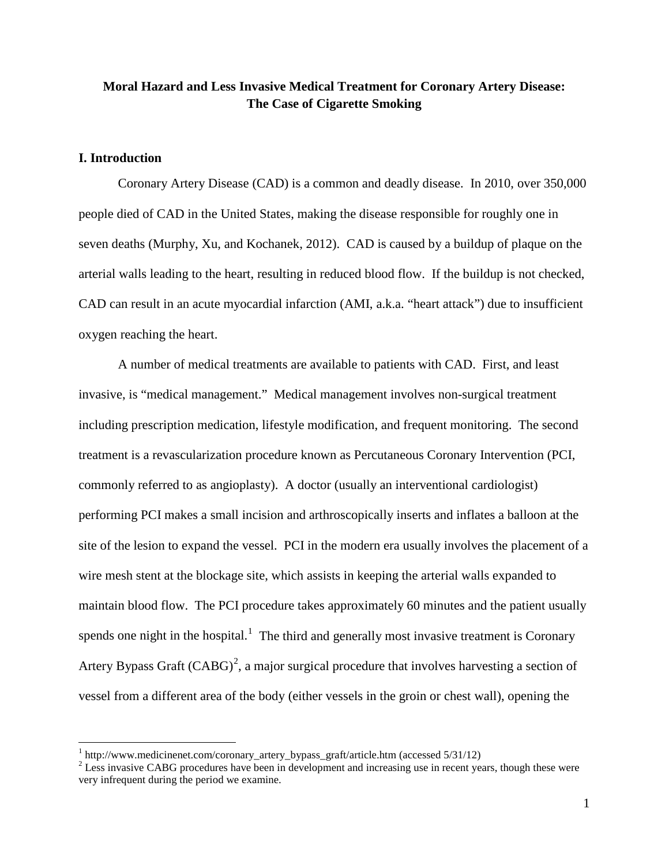#### **Moral Hazard and Less Invasive Medical Treatment for Coronary Artery Disease: The Case of Cigarette Smoking**

#### **I. Introduction**

Coronary Artery Disease (CAD) is a common and deadly disease. In 2010, over 350,000 people died of CAD in the United States, making the disease responsible for roughly one in seven deaths (Murphy, Xu, and Kochanek, 2012). CAD is caused by a buildup of plaque on the arterial walls leading to the heart, resulting in reduced blood flow. If the buildup is not checked, CAD can result in an acute myocardial infarction (AMI, a.k.a. "heart attack") due to insufficient oxygen reaching the heart.

A number of medical treatments are available to patients with CAD. First, and least invasive, is "medical management." Medical management involves non-surgical treatment including prescription medication, lifestyle modification, and frequent monitoring. The second treatment is a revascularization procedure known as Percutaneous Coronary Intervention (PCI, commonly referred to as angioplasty). A doctor (usually an interventional cardiologist) performing PCI makes a small incision and arthroscopically inserts and inflates a balloon at the site of the lesion to expand the vessel. PCI in the modern era usually involves the placement of a wire mesh stent at the blockage site, which assists in keeping the arterial walls expanded to maintain blood flow. The PCI procedure takes approximately 60 minutes and the patient usually spends one night in the hospital.<sup>[1](#page-3-0)</sup> The third and generally most invasive treatment is Coronary Artery Bypass Graft  $(CABG)^2$  $(CABG)^2$ , a major surgical procedure that involves harvesting a section of vessel from a different area of the body (either vessels in the groin or chest wall), opening the

<span id="page-3-2"></span><span id="page-3-1"></span><span id="page-3-0"></span><sup>&</sup>lt;sup>1</sup> http://www.medicinenet.com/coronary\_artery\_bypass\_graft/article.htm (accessed 5/31/12)  $\frac{2}{\pi}$  Less invasive CABG procedures have been in development and increasing use in recent years, though these were very infrequent during the period we examine.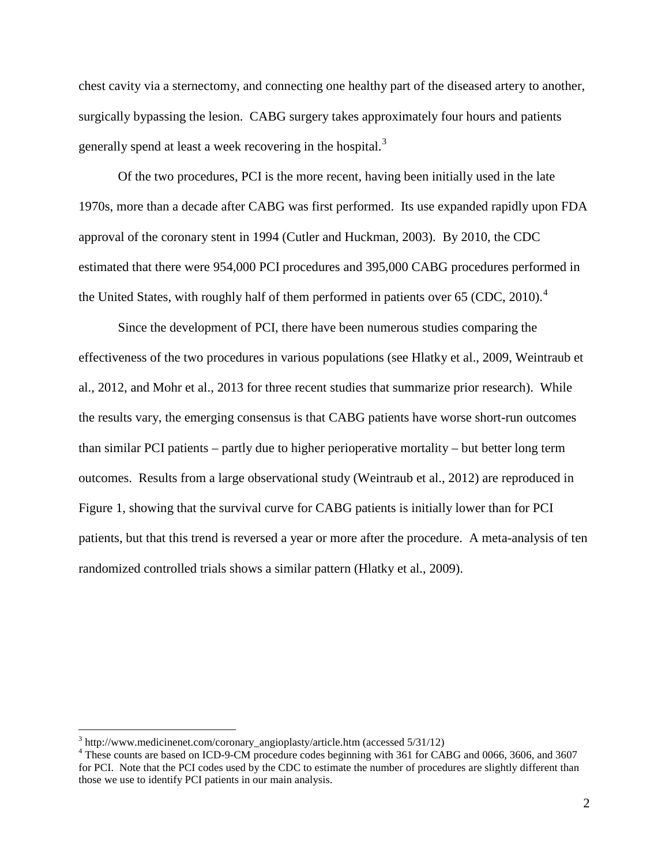chest cavity via a sternectomy, and connecting one healthy part of the diseased artery to another, surgically bypassing the lesion. CABG surgery takes approximately four hours and patients generally spend at least a week recovering in the hospital.<sup>[3](#page-3-2)</sup>

Of the two procedures, PCI is the more recent, having been initially used in the late 1970s, more than a decade after CABG was first performed. Its use expanded rapidly upon FDA approval of the coronary stent in 1994 (Cutler and Huckman, 2003). By 2010, the CDC estimated that there were 954,000 PCI procedures and 395,000 CABG procedures performed in the United States, with roughly half of them performed in patients over 65 (CDC, 2010).<sup>[4](#page-4-0)</sup>

Since the development of PCI, there have been numerous studies comparing the effectiveness of the two procedures in various populations (see Hlatky et al., 2009, Weintraub et al., 2012, and Mohr et al., 2013 for three recent studies that summarize prior research). While the results vary, the emerging consensus is that CABG patients have worse short-run outcomes than similar PCI patients – partly due to higher perioperative mortality – but better long term outcomes. Results from a large observational study (Weintraub et al., 2012) are reproduced in Figure 1, showing that the survival curve for CABG patients is initially lower than for PCI patients, but that this trend is reversed a year or more after the procedure. A meta-analysis of ten randomized controlled trials shows a similar pattern (Hlatky et al., 2009).

<span id="page-4-0"></span>

<span id="page-4-1"></span> $3$  http://www.medicinenet.com/coronary\_angioplasty/article.htm (accessed 5/31/12)<br> $4$  These counts are based on ICD-9-CM procedure codes beginning with 361 for CABG and 0066, 3606, and 3607 for PCI. Note that the PCI codes used by the CDC to estimate the number of procedures are slightly different than those we use to identify PCI patients in our main analysis.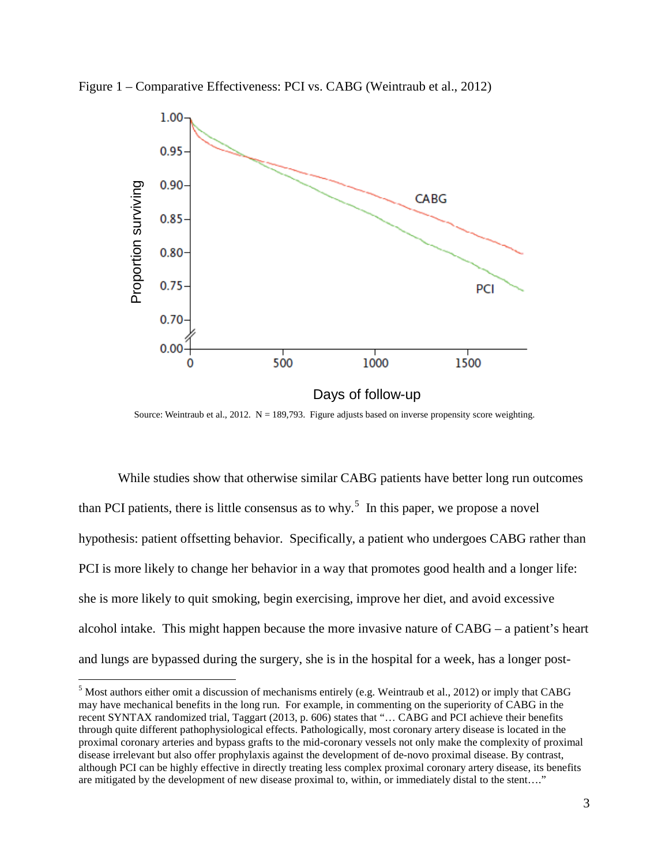

Figure 1 – Comparative Effectiveness: PCI vs. CABG (Weintraub et al., 2012)

While studies show that otherwise similar CABG patients have better long run outcomes than PCI patients, there is little consensus as to why.<sup>[5](#page-4-1)</sup> In this paper, we propose a novel hypothesis: patient offsetting behavior. Specifically, a patient who undergoes CABG rather than PCI is more likely to change her behavior in a way that promotes good health and a longer life: she is more likely to quit smoking, begin exercising, improve her diet, and avoid excessive alcohol intake. This might happen because the more invasive nature of CABG – a patient's heart and lungs are bypassed during the surgery, she is in the hospital for a week, has a longer post-

<span id="page-5-0"></span> <sup>5</sup> Most authors either omit a discussion of mechanisms entirely (e.g. Weintraub et al., 2012) or imply that CABG may have mechanical benefits in the long run. For example, in commenting on the superiority of CABG in the recent SYNTAX randomized trial, Taggart (2013, p. 606) states that "… CABG and PCI achieve their benefits through quite different pathophysiological effects. Pathologically, most coronary artery disease is located in the proximal coronary arteries and bypass grafts to the mid-coronary vessels not only make the complexity of proximal disease irrelevant but also offer prophylaxis against the development of de-novo proximal disease. By contrast, although PCI can be highly effective in directly treating less complex proximal coronary artery disease, its benefits are mitigated by the development of new disease proximal to, within, or immediately distal to the stent…."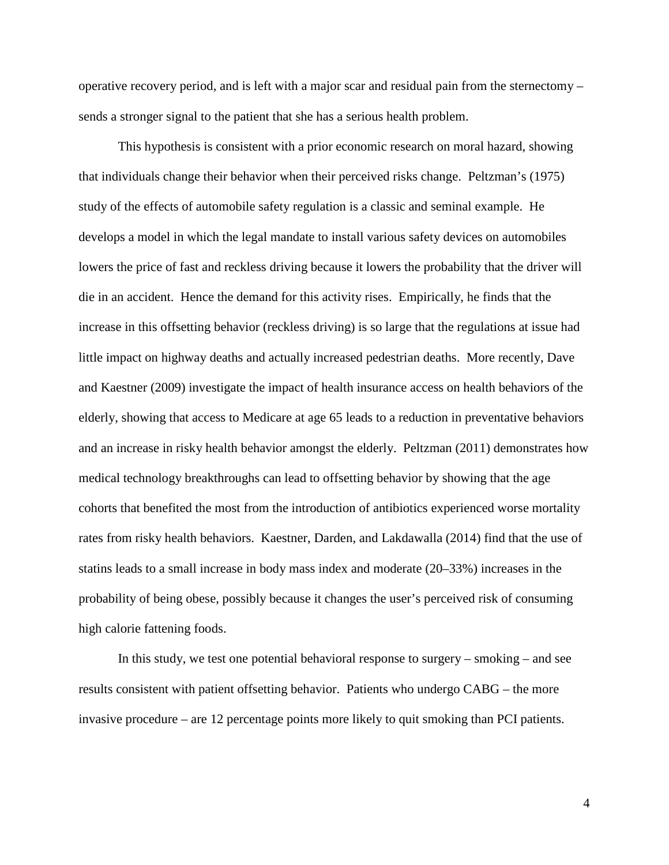operative recovery period, and is left with a major scar and residual pain from the sternectomy – sends a stronger signal to the patient that she has a serious health problem.

This hypothesis is consistent with a prior economic research on moral hazard, showing that individuals change their behavior when their perceived risks change. Peltzman's (1975) study of the effects of automobile safety regulation is a classic and seminal example. He develops a model in which the legal mandate to install various safety devices on automobiles lowers the price of fast and reckless driving because it lowers the probability that the driver will die in an accident. Hence the demand for this activity rises. Empirically, he finds that the increase in this offsetting behavior (reckless driving) is so large that the regulations at issue had little impact on highway deaths and actually increased pedestrian deaths. More recently, Dave and Kaestner (2009) investigate the impact of health insurance access on health behaviors of the elderly, showing that access to Medicare at age 65 leads to a reduction in preventative behaviors and an increase in risky health behavior amongst the elderly. Peltzman (2011) demonstrates how medical technology breakthroughs can lead to offsetting behavior by showing that the age cohorts that benefited the most from the introduction of antibiotics experienced worse mortality rates from risky health behaviors. Kaestner, Darden, and Lakdawalla (2014) find that the use of statins leads to a small increase in body mass index and moderate (20–33%) increases in the probability of being obese, possibly because it changes the user's perceived risk of consuming high calorie fattening foods.

In this study, we test one potential behavioral response to surgery – smoking – and see results consistent with patient offsetting behavior. Patients who undergo CABG – the more invasive procedure – are 12 percentage points more likely to quit smoking than PCI patients.

4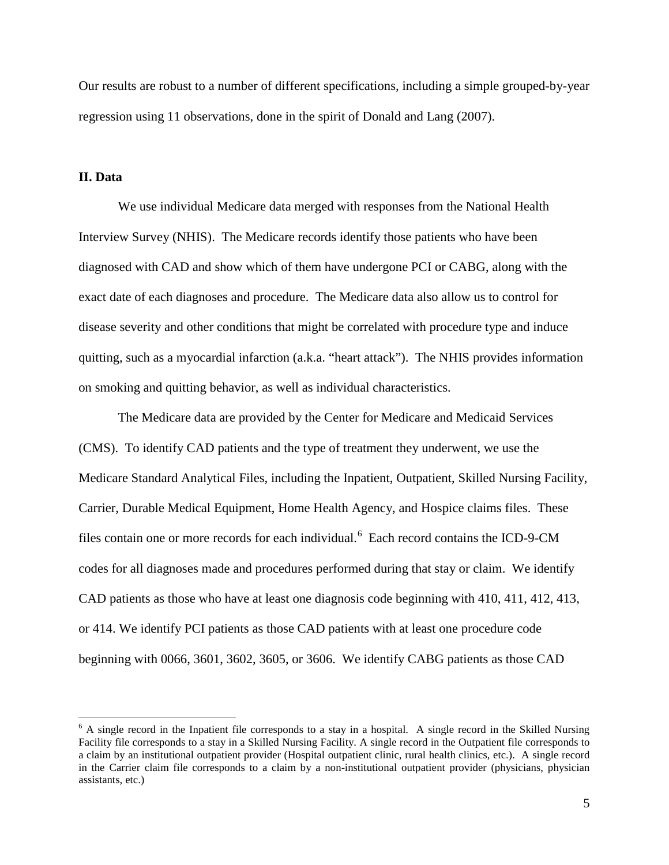Our results are robust to a number of different specifications, including a simple grouped-by-year regression using 11 observations, done in the spirit of Donald and Lang (2007).

#### **II. Data**

We use individual Medicare data merged with responses from the National Health Interview Survey (NHIS). The Medicare records identify those patients who have been diagnosed with CAD and show which of them have undergone PCI or CABG, along with the exact date of each diagnoses and procedure. The Medicare data also allow us to control for disease severity and other conditions that might be correlated with procedure type and induce quitting, such as a myocardial infarction (a.k.a. "heart attack"). The NHIS provides information on smoking and quitting behavior, as well as individual characteristics.

The Medicare data are provided by the Center for Medicare and Medicaid Services (CMS). To identify CAD patients and the type of treatment they underwent, we use the Medicare Standard Analytical Files, including the Inpatient, Outpatient, Skilled Nursing Facility, Carrier, Durable Medical Equipment, Home Health Agency, and Hospice claims files. These files contain one or more records for each individual.<sup>[6](#page-5-0)</sup> Each record contains the ICD-9-CM codes for all diagnoses made and procedures performed during that stay or claim. We identify CAD patients as those who have at least one diagnosis code beginning with 410, 411, 412, 413, or 414. We identify PCI patients as those CAD patients with at least one procedure code beginning with 0066, 3601, 3602, 3605, or 3606. We identify CABG patients as those CAD

<span id="page-7-0"></span> $6$  A single record in the Inpatient file corresponds to a stay in a hospital. A single record in the Skilled Nursing Facility file corresponds to a stay in a Skilled Nursing Facility. A single record in the Outpatient file corresponds to a claim by an institutional outpatient provider (Hospital outpatient clinic, rural health clinics, etc.). A single record in the Carrier claim file corresponds to a claim by a non-institutional outpatient provider (physicians, physician assistants, etc.)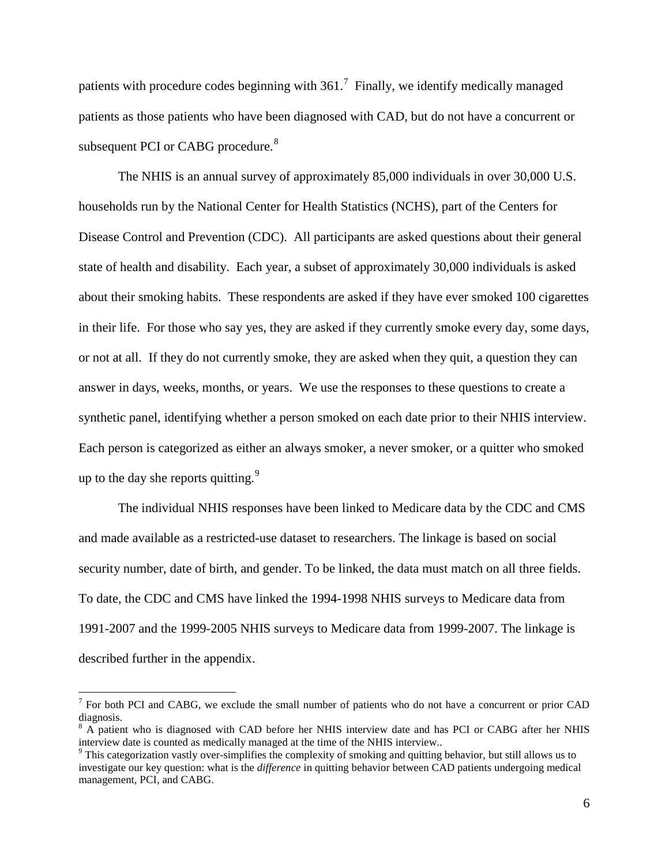patients with procedure codes beginning with  $361<sup>7</sup>$  $361<sup>7</sup>$  $361<sup>7</sup>$  Finally, we identify medically managed patients as those patients who have been diagnosed with CAD, but do not have a concurrent or subsequent PCI or CABG procedure. $8$ 

The NHIS is an annual survey of approximately 85,000 individuals in over 30,000 U.S. households run by the National Center for Health Statistics (NCHS), part of the Centers for Disease Control and Prevention (CDC). All participants are asked questions about their general state of health and disability. Each year, a subset of approximately 30,000 individuals is asked about their smoking habits. These respondents are asked if they have ever smoked 100 cigarettes in their life. For those who say yes, they are asked if they currently smoke every day, some days, or not at all. If they do not currently smoke, they are asked when they quit, a question they can answer in days, weeks, months, or years. We use the responses to these questions to create a synthetic panel, identifying whether a person smoked on each date prior to their NHIS interview. Each person is categorized as either an always smoker, a never smoker, or a quitter who smoked up to the day she reports quitting. $9$ 

The individual NHIS responses have been linked to Medicare data by the CDC and CMS and made available as a restricted-use dataset to researchers. The linkage is based on social security number, date of birth, and gender. To be linked, the data must match on all three fields. To date, the CDC and CMS have linked the 1994-1998 NHIS surveys to Medicare data from 1991-2007 and the 1999-2005 NHIS surveys to Medicare data from 1999-2007. The linkage is described further in the appendix.

 $<sup>7</sup>$  For both PCI and CABG, we exclude the small number of patients who do not have a concurrent or prior CAD</sup> diagnosis.

<span id="page-8-2"></span><span id="page-8-0"></span> $8$  A patient who is diagnosed with CAD before her NHIS interview date and has PCI or CABG after her NHIS interview date is counted as medically managed at the time of the NHIS interview..

<span id="page-8-1"></span><sup>&</sup>lt;sup>9</sup> This categorization vastly over-simplifies the complexity of smoking and quitting behavior, but still allows us to investigate our key question: what is the *difference* in quitting behavior between CAD patients undergoing medical management, PCI, and CABG.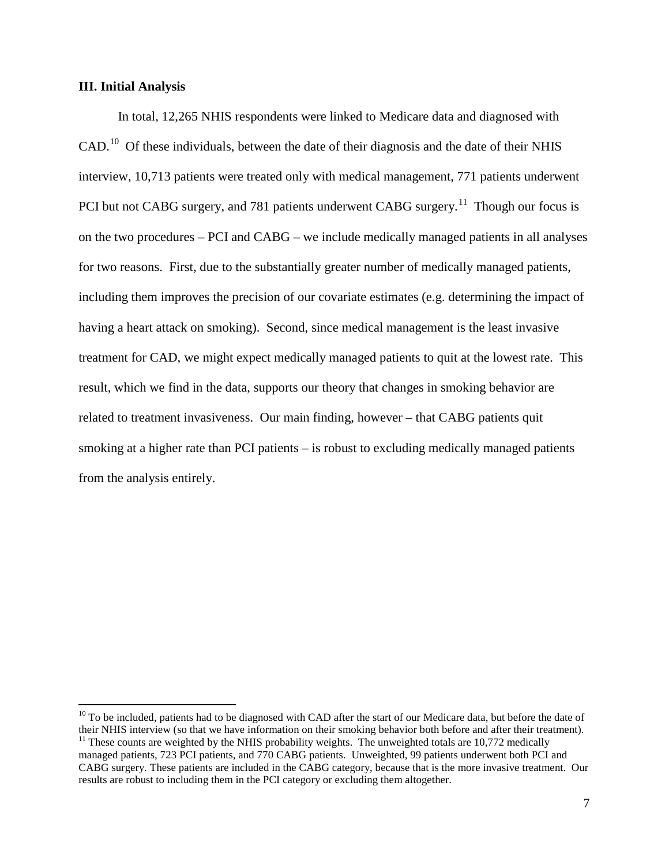#### **III. Initial Analysis**

In total, 12,265 NHIS respondents were linked to Medicare data and diagnosed with  $CAD.$ <sup>[10](#page-8-2)</sup> Of these individuals, between the date of their diagnosis and the date of their NHIS interview, 10,713 patients were treated only with medical management, 771 patients underwent PCI but not CABG surgery, and 781 patients underwent CABG surgery.<sup>[11](#page-9-0)</sup> Though our focus is on the two procedures – PCI and CABG – we include medically managed patients in all analyses for two reasons. First, due to the substantially greater number of medically managed patients, including them improves the precision of our covariate estimates (e.g. determining the impact of having a heart attack on smoking). Second, since medical management is the least invasive treatment for CAD, we might expect medically managed patients to quit at the lowest rate. This result, which we find in the data, supports our theory that changes in smoking behavior are related to treatment invasiveness. Our main finding, however – that CABG patients quit smoking at a higher rate than PCI patients – is robust to excluding medically managed patients from the analysis entirely.

 $10$  To be included, patients had to be diagnosed with CAD after the start of our Medicare data, but before the date of their NHIS interview (so that we have information on their smoking behavior both before and after the  $t<sup>11</sup>$  These counts are weighted by the NHIS probability weights. The unweighted totals are 10,772 medically

<span id="page-9-1"></span><span id="page-9-0"></span>managed patients, 723 PCI patients, and 770 CABG patients. Unweighted, 99 patients underwent both PCI and CABG surgery. These patients are included in the CABG category, because that is the more invasive treatment. Our results are robust to including them in the PCI category or excluding them altogether.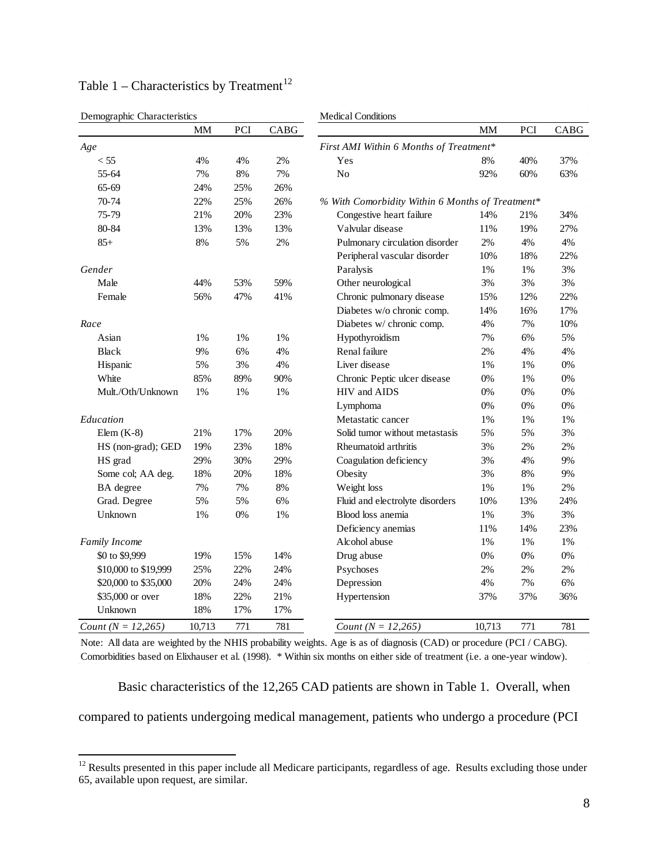| Demographic Characteristics |           |     |                                         | Medical Conditions                               |           |     |       |  |  |  |
|-----------------------------|-----------|-----|-----------------------------------------|--------------------------------------------------|-----------|-----|-------|--|--|--|
|                             | <b>MM</b> | PCI | CABG                                    |                                                  | <b>MM</b> | PCI | CABG  |  |  |  |
| Age                         |           |     | First AMI Within 6 Months of Treatment* |                                                  |           |     |       |  |  |  |
| < 55                        | 4%        | 4%  | $2\%$                                   | 40%<br>Yes<br>8%                                 |           |     | 37%   |  |  |  |
| 55-64                       | 7%        | 8%  | 7%                                      | No                                               | 92%       | 60% | 63%   |  |  |  |
| 65-69                       | 24%       | 25% | 26%                                     |                                                  |           |     |       |  |  |  |
| 70-74                       | 22%       | 25% | 26%                                     | % With Comorbidity Within 6 Months of Treatment* |           |     |       |  |  |  |
| 75-79                       | 21%       | 20% | 23%                                     | Congestive heart failure                         | 14%       | 21% | 34%   |  |  |  |
| 80-84                       | 13%       | 13% | 13%                                     | Valvular disease                                 | 11%       | 19% | 27%   |  |  |  |
| $85+$                       | 8%        | 5%  | 2%                                      | Pulmonary circulation disorder                   | 2%        | 4%  | 4%    |  |  |  |
|                             |           |     |                                         | Peripheral vascular disorder                     | 10%       | 18% | 22%   |  |  |  |
| Gender                      |           |     |                                         | Paralysis                                        | 1%        | 1%  | 3%    |  |  |  |
| Male                        | 44%       | 53% | 59%                                     | Other neurological                               | 3%        | 3%  | 3%    |  |  |  |
| Female                      | 56%       | 47% | 41%                                     | Chronic pulmonary disease                        | 15%       | 12% | 22%   |  |  |  |
|                             |           |     |                                         | Diabetes w/o chronic comp.                       | 14%       | 16% | 17%   |  |  |  |
| Race                        |           |     |                                         | Diabetes w/ chronic comp.                        | 4%        | 7%  | 10%   |  |  |  |
| Asian                       | 1%        | 1%  | 1%                                      | Hypothyroidism                                   | 7%        | 6%  | 5%    |  |  |  |
| <b>Black</b>                | 9%        | 6%  | 4%                                      | Renal failure                                    | 2%        | 4%  | 4%    |  |  |  |
| Hispanic                    | 5%        | 3%  | 4%                                      | Liver disease                                    | 1%        | 1%  | $0\%$ |  |  |  |
| White                       | 85%       | 89% | 90%                                     | Chronic Peptic ulcer disease                     | 0%        | 1%  | 0%    |  |  |  |
| Mult./Oth/Unknown           | 1%        | 1%  | 1%                                      | HIV and AIDS                                     | 0%        | 0%  | 0%    |  |  |  |
|                             |           |     |                                         | Lymphoma                                         | 0%        | 0%  | 0%    |  |  |  |
| Education                   |           |     |                                         | Metastatic cancer                                | 1%        | 1%  | 1%    |  |  |  |
| Elem $(K-8)$                | 21%       | 17% | 20%                                     | Solid tumor without metastasis                   | 5%        | 5%  | 3%    |  |  |  |
| HS (non-grad); GED          | 19%       | 23% | 18%                                     | Rheumatoid arthritis                             | 3%        | 2%  | $2\%$ |  |  |  |
| HS grad                     | 29%       | 30% | 29%                                     | Coagulation deficiency                           | 3%        | 4%  | 9%    |  |  |  |
| Some col; AA deg.           | 18%       | 20% | 18%                                     | Obesity                                          | 3%        | 8%  | 9%    |  |  |  |
| BA degree                   | 7%        | 7%  | 8%                                      | Weight loss                                      | 1%        | 1%  | 2%    |  |  |  |
| Grad. Degree                | 5%        | 5%  | 6%                                      | Fluid and electrolyte disorders                  | 10%       | 13% | 24%   |  |  |  |
| Unknown                     | 1%        | 0%  | 1%                                      | Blood loss anemia                                | 1%        | 3%  | 3%    |  |  |  |
|                             |           |     |                                         | Deficiency anemias                               | 11%       | 14% | 23%   |  |  |  |
| Family Income               |           |     |                                         | Alcohol abuse                                    | 1%        | 1%  | 1%    |  |  |  |
| \$0 to \$9,999              | 19%       | 15% | 14%                                     | Drug abuse                                       | $0\%$     | 0%  | $0\%$ |  |  |  |
| \$10,000 to \$19,999        | 25%       | 22% | 24%                                     | Psychoses                                        | 2%        | 2%  | 2%    |  |  |  |
| \$20,000 to \$35,000        | 20%       | 24% | 24%                                     | Depression<br>7%<br>4%                           |           | 6%  |       |  |  |  |
| \$35,000 or over            | 18%       | 22% | 21%                                     | Hypertension                                     | 37%       | 37% | 36%   |  |  |  |
| Unknown                     | 18%       | 17% | 17%                                     |                                                  |           |     |       |  |  |  |
| Count ( $N = 12,265$ )      | 10.713    | 771 | 781                                     | Count ( $N = 12,265$ )                           | 10,713    | 771 | 781   |  |  |  |

Table  $1$  – Characteristics by Treatment<sup>[12](#page-9-1)</sup>

Note: All data are weighted by the NHIS probability weights. Age is as of diagnosis (CAD) or procedure (PCI / CABG). Comorbidities based on Elixhauser et al. (1998). \* Within six months on either side of treatment (i.e. a one-year window).

Basic characteristics of the 12,265 CAD patients are shown in Table 1. Overall, when compared to patients undergoing medical management, patients who undergo a procedure (PCI

<span id="page-10-0"></span><sup>&</sup>lt;sup>12</sup> Results presented in this paper include all Medicare participants, regardless of age. Results excluding those under 65, available upon request, are similar.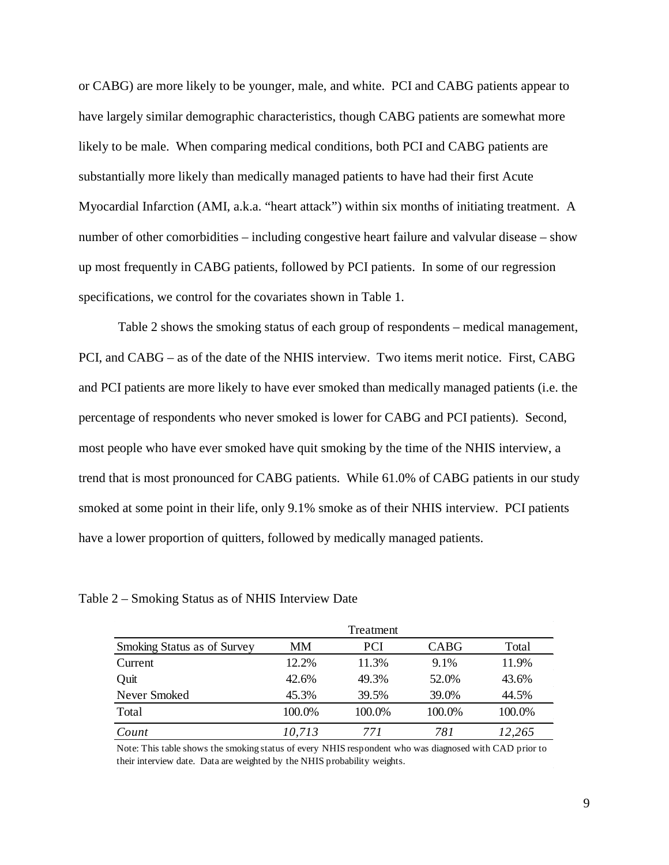or CABG) are more likely to be younger, male, and white. PCI and CABG patients appear to have largely similar demographic characteristics, though CABG patients are somewhat more likely to be male. When comparing medical conditions, both PCI and CABG patients are substantially more likely than medically managed patients to have had their first Acute Myocardial Infarction (AMI, a.k.a. "heart attack") within six months of initiating treatment. A number of other comorbidities – including congestive heart failure and valvular disease – show up most frequently in CABG patients, followed by PCI patients. In some of our regression specifications, we control for the covariates shown in Table 1.

Table 2 shows the smoking status of each group of respondents – medical management, PCI, and CABG – as of the date of the NHIS interview. Two items merit notice. First, CABG and PCI patients are more likely to have ever smoked than medically managed patients (i.e. the percentage of respondents who never smoked is lower for CABG and PCI patients). Second, most people who have ever smoked have quit smoking by the time of the NHIS interview, a trend that is most pronounced for CABG patients. While 61.0% of CABG patients in our study smoked at some point in their life, only 9.1% smoke as of their NHIS interview. PCI patients have a lower proportion of quitters, followed by medically managed patients.

| Smoking Status as of Survey | MМ     | <b>PCI</b> | <b>CABG</b> | Total  |
|-----------------------------|--------|------------|-------------|--------|
| Current                     | 12.2%  | 11.3%      | 9.1%        | 11.9%  |
| Quit                        | 42.6%  | 49.3%      | 52.0%       | 43.6%  |
| Never Smoked                | 45.3%  | 39.5%      | 39.0%       | 44.5%  |
| Total                       | 100.0% | 100.0%     | 100.0%      | 100.0% |
| Count                       | 10,713 | 771        | 781         | 12,265 |

Table 2 – Smoking Status as of NHIS Interview Date

Note: This table shows the smoking status of every NHIS respondent who was diagnosed with CAD prior to their interview date. Data are weighted by the NHIS probability weights.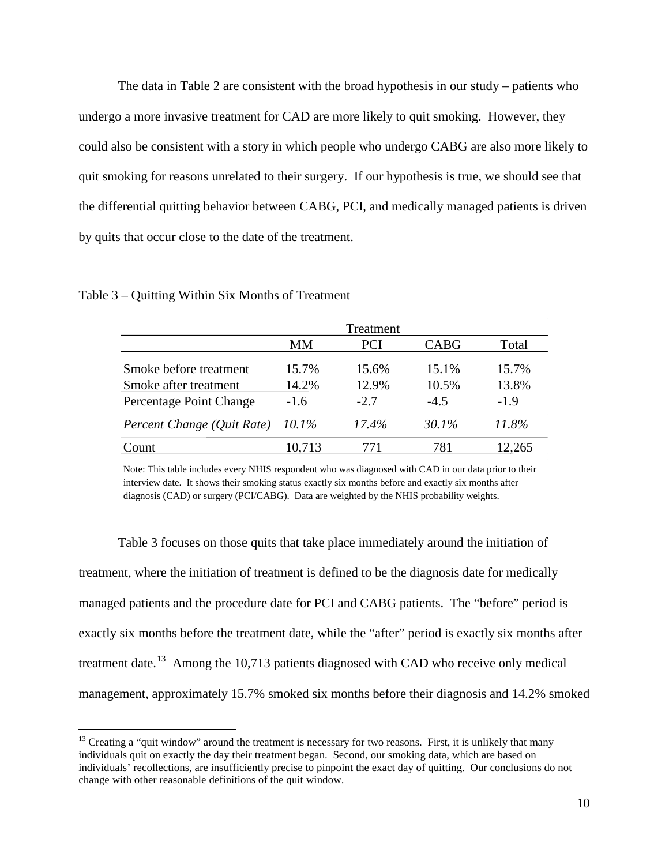The data in Table 2 are consistent with the broad hypothesis in our study – patients who undergo a more invasive treatment for CAD are more likely to quit smoking. However, they could also be consistent with a story in which people who undergo CABG are also more likely to quit smoking for reasons unrelated to their surgery. If our hypothesis is true, we should see that the differential quitting behavior between CABG, PCI, and medically managed patients is driven by quits that occur close to the date of the treatment.

|                            |          | Treatment  |             |        |
|----------------------------|----------|------------|-------------|--------|
|                            | MМ       | <b>PCI</b> | <b>CABG</b> | Total  |
| Smoke before treatment     | 15.7%    | 15.6%      | 15.1%       | 15.7%  |
| Smoke after treatment      | 14.2%    | 12.9%      | 10.5%       | 13.8%  |
| Percentage Point Change    | $-1.6$   | $-2.7$     | $-4.5$      | $-1.9$ |
| Percent Change (Quit Rate) | $10.1\%$ | 17.4%      | 30.1%       | 11.8%  |
| Count                      | 10,713   | 771        | 781         | 12,265 |

Table 3 – Quitting Within Six Months of Treatment

Note: This table includes every NHIS respondent who was diagnosed with CAD in our data prior to their interview date. It shows their smoking status exactly six months before and exactly six months after diagnosis (CAD) or surgery (PCI/CABG). Data are weighted by the NHIS probability weights.

Table 3 focuses on those quits that take place immediately around the initiation of treatment, where the initiation of treatment is defined to be the diagnosis date for medically managed patients and the procedure date for PCI and CABG patients. The "before" period is exactly six months before the treatment date, while the "after" period is exactly six months after treatment date.<sup>13</sup> Among the 10,7[13](#page-10-0) patients diagnosed with CAD who receive only medical management, approximately 15.7% smoked six months before their diagnosis and 14.2% smoked

<span id="page-12-0"></span> $13$  Creating a "quit window" around the treatment is necessary for two reasons. First, it is unlikely that many individuals quit on exactly the day their treatment began. Second, our smoking data, which are based on individuals' recollections, are insufficiently precise to pinpoint the exact day of quitting. Our conclusions do not change with other reasonable definitions of the quit window.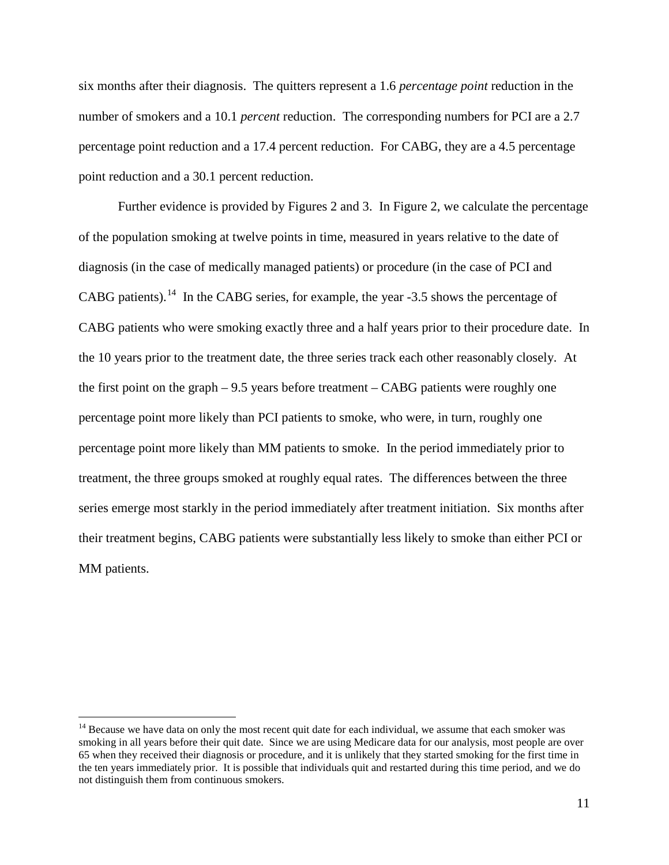six months after their diagnosis. The quitters represent a 1.6 *percentage point* reduction in the number of smokers and a 10.1 *percent* reduction. The corresponding numbers for PCI are a 2.7 percentage point reduction and a 17.4 percent reduction. For CABG, they are a 4.5 percentage point reduction and a 30.1 percent reduction.

Further evidence is provided by Figures 2 and 3. In Figure 2, we calculate the percentage of the population smoking at twelve points in time, measured in years relative to the date of diagnosis (in the case of medically managed patients) or procedure (in the case of PCI and CABG patients).<sup>[14](#page-12-0)</sup> In the CABG series, for example, the year -3.5 shows the percentage of CABG patients who were smoking exactly three and a half years prior to their procedure date. In the 10 years prior to the treatment date, the three series track each other reasonably closely. At the first point on the graph – 9.5 years before treatment – CABG patients were roughly one percentage point more likely than PCI patients to smoke, who were, in turn, roughly one percentage point more likely than MM patients to smoke. In the period immediately prior to treatment, the three groups smoked at roughly equal rates. The differences between the three series emerge most starkly in the period immediately after treatment initiation. Six months after their treatment begins, CABG patients were substantially less likely to smoke than either PCI or MM patients.

<span id="page-13-0"></span><sup>&</sup>lt;sup>14</sup> Because we have data on only the most recent quit date for each individual, we assume that each smoker was smoking in all years before their quit date. Since we are using Medicare data for our analysis, most people are over 65 when they received their diagnosis or procedure, and it is unlikely that they started smoking for the first time in the ten years immediately prior. It is possible that individuals quit and restarted during this time period, and we do not distinguish them from continuous smokers.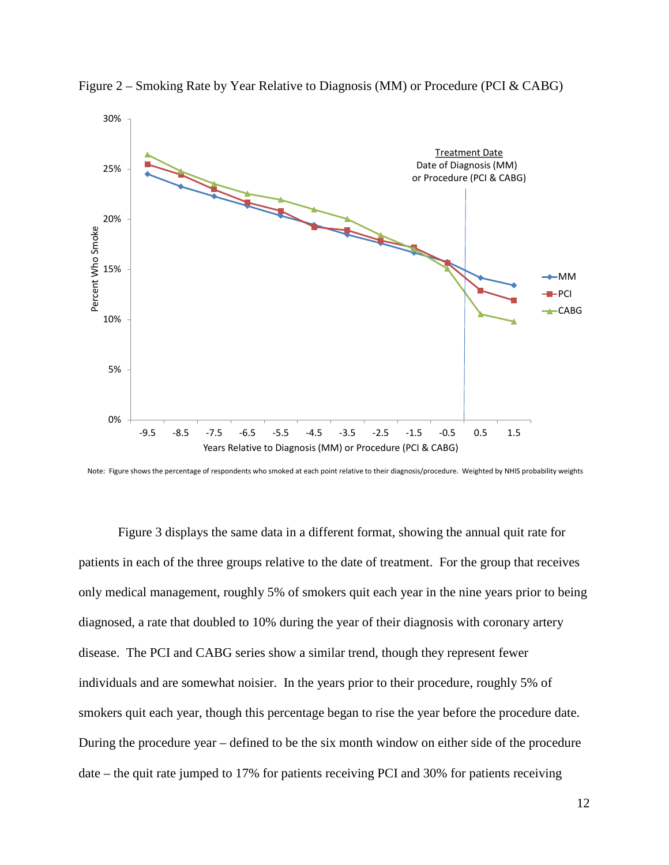

Figure 2 – Smoking Rate by Year Relative to Diagnosis (MM) or Procedure (PCI & CABG)

Note: Figure shows the percentage of respondents who smoked at each point relative to their diagnosis/procedure. Weighted by NHIS probability weights

Figure 3 displays the same data in a different format, showing the annual quit rate for patients in each of the three groups relative to the date of treatment. For the group that receives only medical management, roughly 5% of smokers quit each year in the nine years prior to being diagnosed, a rate that doubled to 10% during the year of their diagnosis with coronary artery disease. The PCI and CABG series show a similar trend, though they represent fewer individuals and are somewhat noisier. In the years prior to their procedure, roughly 5% of smokers quit each year, though this percentage began to rise the year before the procedure date. During the procedure year – defined to be the six month window on either side of the procedure date – the quit rate jumped to 17% for patients receiving PCI and 30% for patients receiving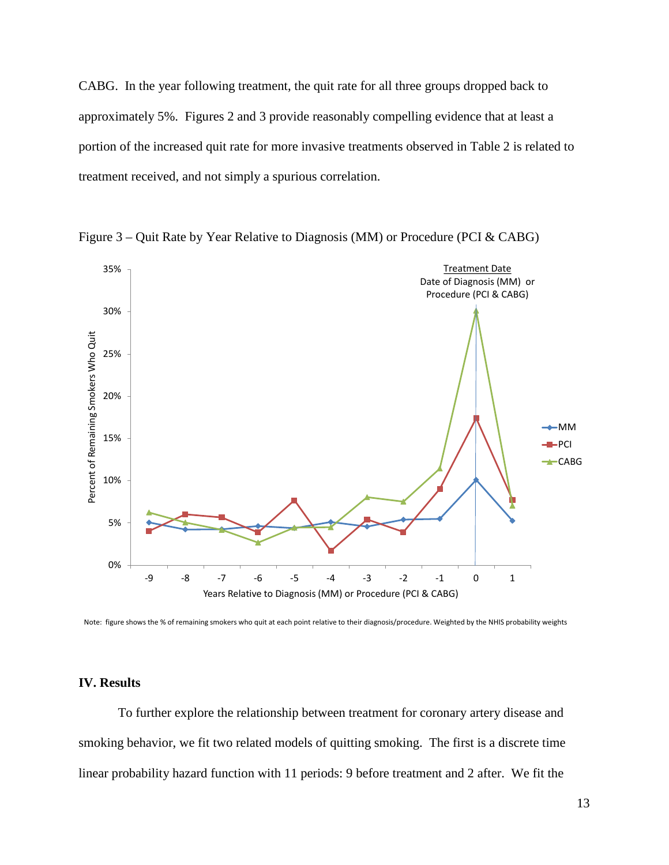CABG. In the year following treatment, the quit rate for all three groups dropped back to approximately 5%. Figures 2 and 3 provide reasonably compelling evidence that at least a portion of the increased quit rate for more invasive treatments observed in Table 2 is related to treatment received, and not simply a spurious correlation.



Figure 3 – Quit Rate by Year Relative to Diagnosis (MM) or Procedure (PCI & CABG)

Note: figure shows the % of remaining smokers who quit at each point relative to their diagnosis/procedure. Weighted by the NHIS probability weights

#### **IV. Results**

To further explore the relationship between treatment for coronary artery disease and smoking behavior, we fit two related models of quitting smoking. The first is a discrete time linear probability hazard function with 11 periods: 9 before treatment and 2 after. We fit the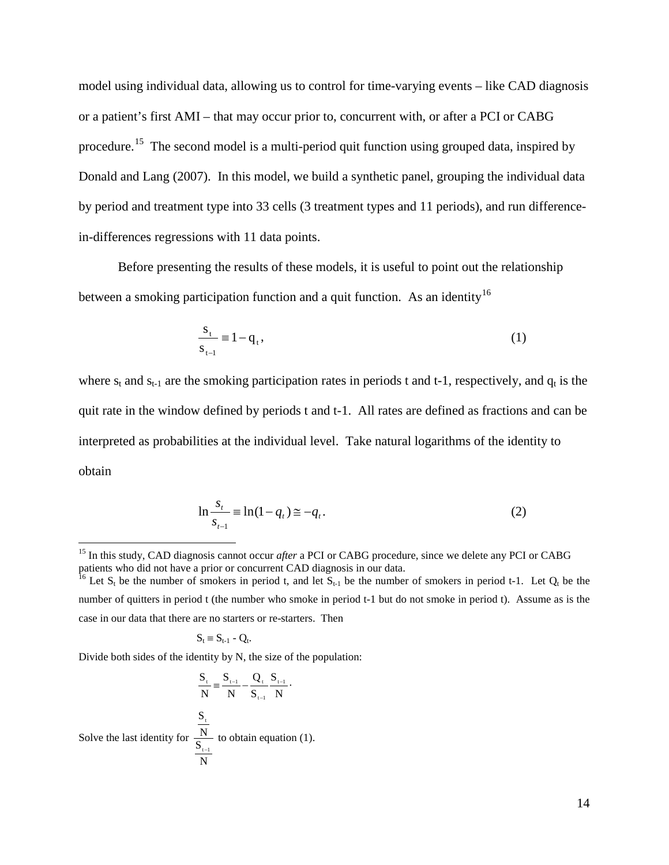model using individual data, allowing us to control for time-varying events – like CAD diagnosis or a patient's first AMI – that may occur prior to, concurrent with, or after a PCI or CABG procedure.<sup>15</sup> The second model is a multi-period quit function using grouped data, inspired by Donald and Lang (2007). In this model, we build a synthetic panel, grouping the individual data by period and treatment type into 33 cells (3 treatment types and 11 periods), and run differencein-differences regressions with 11 data points.

Before presenting the results of these models, it is useful to point out the relationship between a smoking participation function and a quit function. As an identity<sup>[16](#page-16-0)</sup>

$$
\frac{s_t}{s_{t-1}} \equiv 1 - q_t,\tag{1}
$$

where  $s_t$  and  $s_{t-1}$  are the smoking participation rates in periods t and t-1, respectively, and  $q_t$  is the quit rate in the window defined by periods t and t-1. All rates are defined as fractions and can be interpreted as probabilities at the individual level. Take natural logarithms of the identity to obtain

$$
\ln \frac{s_t}{s_{t-1}} = \ln(1 - q_t) \approx -q_t.
$$
 (2)

$$
S_t \equiv S_{t-1} - Q_t.
$$

Divide both sides of the identity by N, the size of the population:

<span id="page-16-1"></span>
$$
\frac{S_{\tau}}{N} = \frac{S_{\tau-1}}{N} - \frac{Q_{\tau}}{S_{\tau-1}} \frac{S_{\tau-1}}{N}.
$$
  
Solve the last identity for 
$$
\frac{\frac{S_{\tau}}{N}}{N}
$$
 to obtain equation (1).

<sup>&</sup>lt;sup>15</sup> In this study, CAD diagnosis cannot occur *after* a PCI or CABG procedure, since we delete any PCI or CABG patients who did not have a prior or concurrent CAD diagnosis in our data.

<span id="page-16-0"></span><sup>&</sup>lt;sup>16</sup> Let S<sub>t</sub> be the number of smokers in period t, and let  $S_{t-1}$  be the number of smokers in period t-1. Let  $Q_t$  be the number of quitters in period t (the number who smoke in period t-1 but do not smoke in period t). Assume as is the case in our data that there are no starters or re-starters. Then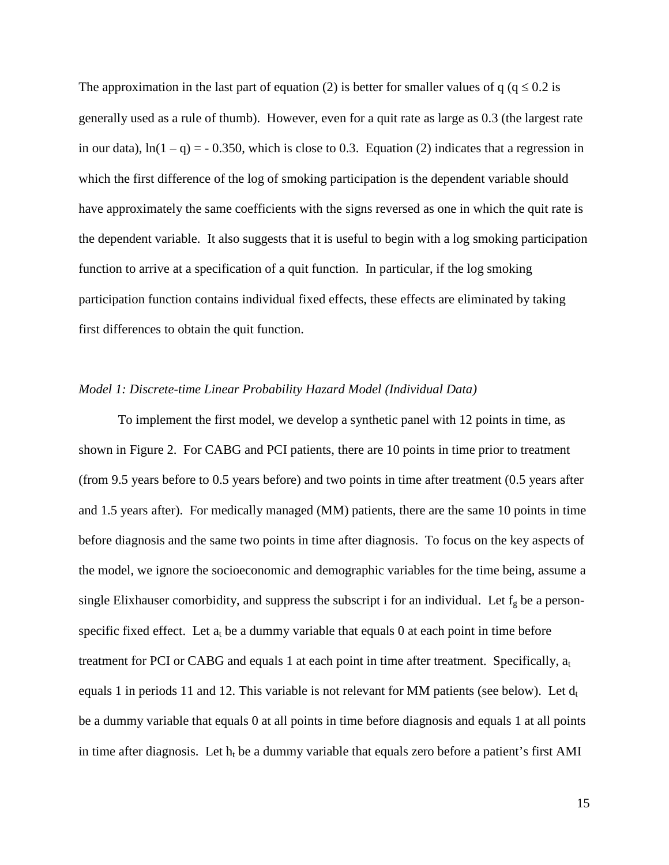The approximation in the last part of equation (2) is better for smaller values of q ( $q \le 0.2$  is generally used as a rule of thumb). However, even for a quit rate as large as 0.3 (the largest rate in our data),  $ln(1 - q) = -0.350$ , which is close to 0.3. Equation (2) indicates that a regression in which the first difference of the log of smoking participation is the dependent variable should have approximately the same coefficients with the signs reversed as one in which the quit rate is the dependent variable. It also suggests that it is useful to begin with a log smoking participation function to arrive at a specification of a quit function. In particular, if the log smoking participation function contains individual fixed effects, these effects are eliminated by taking first differences to obtain the quit function.

#### *Model 1: Discrete-time Linear Probability Hazard Model (Individual Data)*

To implement the first model, we develop a synthetic panel with 12 points in time, as shown in Figure 2. For CABG and PCI patients, there are 10 points in time prior to treatment (from 9.5 years before to 0.5 years before) and two points in time after treatment (0.5 years after and 1.5 years after). For medically managed (MM) patients, there are the same 10 points in time before diagnosis and the same two points in time after diagnosis. To focus on the key aspects of the model, we ignore the socioeconomic and demographic variables for the time being, assume a single Elixhauser comorbidity, and suppress the subscript i for an individual. Let  $f_g$  be a personspecific fixed effect. Let  $a_t$  be a dummy variable that equals 0 at each point in time before treatment for PCI or CABG and equals 1 at each point in time after treatment. Specifically,  $a_t$ equals 1 in periods 11 and 12. This variable is not relevant for MM patients (see below). Let  $d_t$ be a dummy variable that equals 0 at all points in time before diagnosis and equals 1 at all points in time after diagnosis. Let  $h_t$  be a dummy variable that equals zero before a patient's first AMI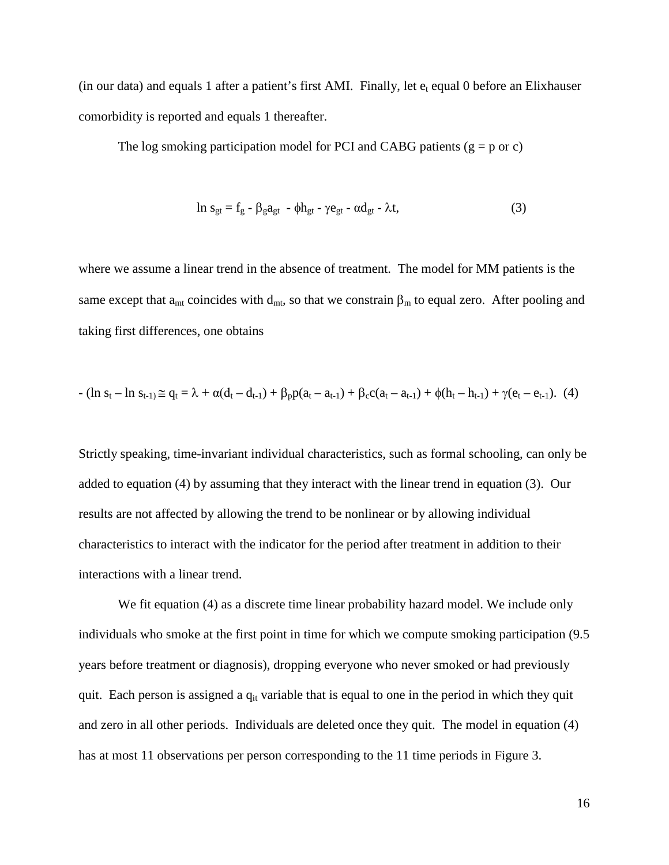(in our data) and equals 1 after a patient's first AMI. Finally, let  $e_t$  equal 0 before an Elixhauser comorbidity is reported and equals 1 thereafter.

The log smoking participation model for PCI and CABG patients  $(g = p \text{ or } c)$ 

$$
\ln s_{gt} = f_g - \beta_g a_{gt} - \phi h_{gt} - \gamma e_{gt} - \alpha d_{gt} - \lambda t,
$$
\n(3)

where we assume a linear trend in the absence of treatment. The model for MM patients is the same except that  $a_{mt}$  coincides with  $d_{mt}$ , so that we constrain  $\beta_m$  to equal zero. After pooling and taking first differences, one obtains

$$
-(\ln s_t - \ln s_{t-1}) \approx q_t = \lambda + \alpha(d_t - d_{t-1}) + \beta_p p(a_t - a_{t-1}) + \beta_c c(a_t - a_{t-1}) + \phi(h_t - h_{t-1}) + \gamma(e_t - e_{t-1}). \tag{4}
$$

Strictly speaking, time-invariant individual characteristics, such as formal schooling, can only be added to equation (4) by assuming that they interact with the linear trend in equation (3). Our results are not affected by allowing the trend to be nonlinear or by allowing individual characteristics to interact with the indicator for the period after treatment in addition to their interactions with a linear trend.

We fit equation (4) as a discrete time linear probability hazard model. We include only individuals who smoke at the first point in time for which we compute smoking participation (9.5 years before treatment or diagnosis), dropping everyone who never smoked or had previously quit. Each person is assigned a  $q<sub>it</sub>$  variable that is equal to one in the period in which they quit and zero in all other periods. Individuals are deleted once they quit. The model in equation (4) has at most 11 observations per person corresponding to the 11 time periods in Figure 3.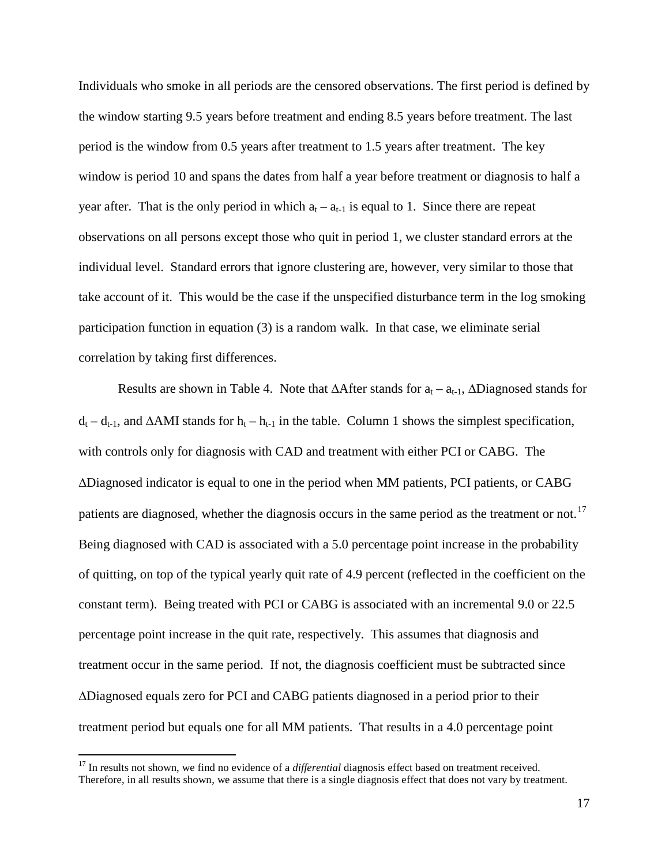Individuals who smoke in all periods are the censored observations. The first period is defined by the window starting 9.5 years before treatment and ending 8.5 years before treatment. The last period is the window from 0.5 years after treatment to 1.5 years after treatment. The key window is period 10 and spans the dates from half a year before treatment or diagnosis to half a year after. That is the only period in which  $a_t - a_{t-1}$  is equal to 1. Since there are repeat observations on all persons except those who quit in period 1, we cluster standard errors at the individual level. Standard errors that ignore clustering are, however, very similar to those that take account of it. This would be the case if the unspecified disturbance term in the log smoking participation function in equation (3) is a random walk. In that case, we eliminate serial correlation by taking first differences.

Results are shown in Table 4. Note that  $\Delta$ After stands for  $a_t - a_{t-1}$ ,  $\Delta$ Diagnosed stands for  $d_t - d_{t-1}$ , and ∆AMI stands for  $h_t - h_{t-1}$  in the table. Column 1 shows the simplest specification, with controls only for diagnosis with CAD and treatment with either PCI or CABG. The ∆Diagnosed indicator is equal to one in the period when MM patients, PCI patients, or CABG patients are diagnosed, whether the diagnosis occurs in the same period as the treatment or not.<sup>17</sup> Being diagnosed with CAD is associated with a 5.0 percentage point increase in the probability of quitting, on top of the typical yearly quit rate of 4.9 percent (reflected in the coefficient on the constant term). Being treated with PCI or CABG is associated with an incremental 9.0 or 22.5 percentage point increase in the quit rate, respectively. This assumes that diagnosis and treatment occur in the same period. If not, the diagnosis coefficient must be subtracted since ∆Diagnosed equals zero for PCI and CABG patients diagnosed in a period prior to their treatment period but equals one for all MM patients. That results in a 4.0 percentage point

<span id="page-19-0"></span><sup>&</sup>lt;sup>17</sup> In results not shown, we find no evidence of a *differential* diagnosis effect based on treatment received. Therefore, in all results shown, we assume that there is a single diagnosis effect that does not vary by treatment.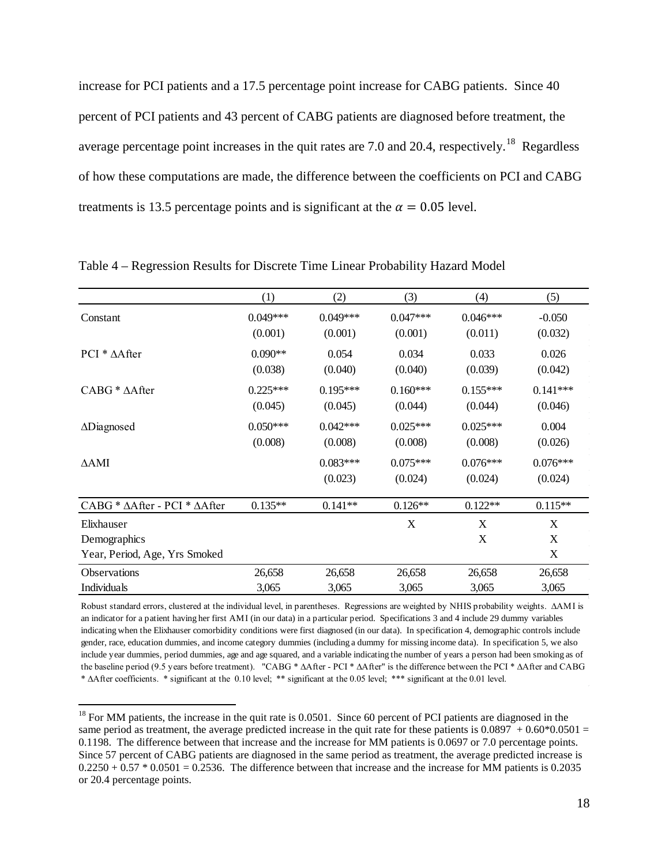increase for PCI patients and a 17.5 percentage point increase for CABG patients. Since 40 percent of PCI patients and 43 percent of CABG patients are diagnosed before treatment, the average percentage point increases in the quit rates are 7.0 and 20.4, respectively.<sup>18</sup> Regardless of how these computations are made, the difference between the coefficients on PCI and CABG treatments is 13.5 percentage points and is significant at the  $\alpha = 0.05$  level.

|                                                    | (1)        | (2)        | (3)                       | (4)        | (5)         |
|----------------------------------------------------|------------|------------|---------------------------|------------|-------------|
| Constant                                           | $0.049***$ | $0.049***$ | $0.047***$                | $0.046***$ | $-0.050$    |
|                                                    | (0.001)    | (0.001)    | (0.001)                   | (0.011)    | (0.032)     |
| $PCI * \Delta$ After                               | $0.090**$  | 0.054      | 0.034                     | 0.033      | 0.026       |
|                                                    | (0.038)    | (0.040)    | (0.040)                   | (0.039)    | (0.042)     |
| CABG * ∆After                                      | $0.225***$ | $0.195***$ | $0.160***$                | $0.155***$ | $0.141***$  |
|                                                    | (0.045)    | (0.045)    | (0.044)                   | (0.044)    | (0.046)     |
| $\Delta$ Diagnosed                                 | $0.050***$ | $0.042***$ | $0.025***$                | $0.025***$ | 0.004       |
|                                                    | (0.008)    | (0.008)    | (0.008)                   | (0.008)    | (0.026)     |
| $\Delta AMI$                                       |            | $0.083***$ | $0.075***$                | $0.076***$ | $0.076***$  |
|                                                    |            | (0.023)    | (0.024)                   | (0.024)    | (0.024)     |
| CABG * $\triangle$ After - PCI * $\triangle$ After | $0.135**$  | $0.141**$  | $0.126**$                 | $0.122**$  | $0.115**$   |
| Elixhauser                                         |            |            | $\boldsymbol{\mathrm{X}}$ | X          | $\mathbf X$ |
| Demographics                                       |            |            |                           | X          | X           |
| Year, Period, Age, Yrs Smoked                      |            |            |                           |            | $\mathbf X$ |
| <b>Observations</b>                                | 26,658     | 26,658     | 26,658                    | 26,658     | 26,658      |
| Individuals                                        | 3,065      | 3,065      | 3,065                     | 3,065      | 3,065       |

Table 4 – Regression Results for Discrete Time Linear Probability Hazard Model

Robust standard errors, clustered at the individual level, in parentheses. Regressions are weighted by NHIS probability weights. ∆AMI is an indicator for a patient having her first AMI (in our data) in a particular period. Specifications 3 and 4 include 29 dummy variables indicating when the Elixhauser comorbidity conditions were first diagnosed (in our data). In specification 4, demographic controls include gender, race, education dummies, and income category dummies (including a dummy for missing income data). In specification 5, we also include year dummies, period dummies, age and age squared, and a variable indicating the number of years a person had been smoking as of the baseline period (9.5 years before treatment). "CABG \* ∆After - PCI \* ∆After" is the difference between the PCI \* ∆After and CABG \* ∆After coefficients. \* significant at the 0.10 level; \*\* significant at the 0.05 level; \*\*\* significant at the 0.01 level.

<span id="page-20-0"></span> $18$  For MM patients, the increase in the quit rate is 0.0501. Since 60 percent of PCI patients are diagnosed in the same period as treatment, the average predicted increase in the quit rate for these patients is  $0.0897 + 0.60*0.0501 =$ 0.1198. The difference between that increase and the increase for MM patients is 0.0697 or 7.0 percentage points. Since 57 percent of CABG patients are diagnosed in the same period as treatment, the average predicted increase is  $0.2250 + 0.57 * 0.0501 = 0.2536$ . The difference between that increase and the increase for MM patients is 0.2035 or 20.4 percentage points.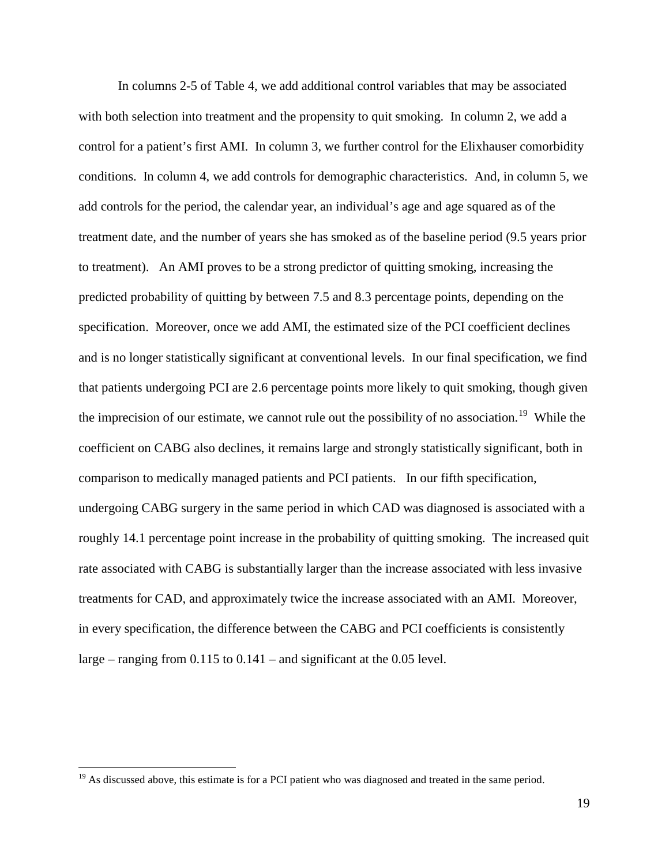In columns 2-5 of Table 4, we add additional control variables that may be associated with both selection into treatment and the propensity to quit smoking. In column 2, we add a control for a patient's first AMI. In column 3, we further control for the Elixhauser comorbidity conditions. In column 4, we add controls for demographic characteristics. And, in column 5, we add controls for the period, the calendar year, an individual's age and age squared as of the treatment date, and the number of years she has smoked as of the baseline period (9.5 years prior to treatment). An AMI proves to be a strong predictor of quitting smoking, increasing the predicted probability of quitting by between 7.5 and 8.3 percentage points, depending on the specification. Moreover, once we add AMI, the estimated size of the PCI coefficient declines and is no longer statistically significant at conventional levels. In our final specification, we find that patients undergoing PCI are 2.6 percentage points more likely to quit smoking, though given the imprecision of our estimate, we cannot rule out the possibility of no association.<sup>[19](#page-20-0)</sup> While the coefficient on CABG also declines, it remains large and strongly statistically significant, both in comparison to medically managed patients and PCI patients. In our fifth specification, undergoing CABG surgery in the same period in which CAD was diagnosed is associated with a roughly 14.1 percentage point increase in the probability of quitting smoking. The increased quit rate associated with CABG is substantially larger than the increase associated with less invasive treatments for CAD, and approximately twice the increase associated with an AMI. Moreover, in every specification, the difference between the CABG and PCI coefficients is consistently large – ranging from 0.115 to 0.141 – and significant at the 0.05 level.

<span id="page-21-0"></span> $<sup>19</sup>$  As discussed above, this estimate is for a PCI patient who was diagnosed and treated in the same period.</sup>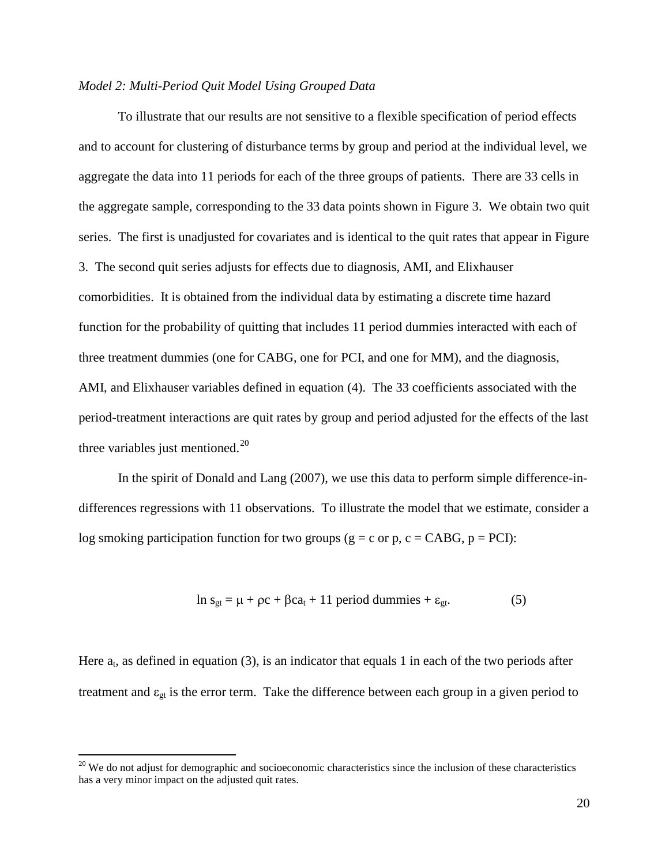#### *Model 2: Multi-Period Quit Model Using Grouped Data*

To illustrate that our results are not sensitive to a flexible specification of period effects and to account for clustering of disturbance terms by group and period at the individual level, we aggregate the data into 11 periods for each of the three groups of patients. There are 33 cells in the aggregate sample, corresponding to the 33 data points shown in Figure 3. We obtain two quit series. The first is unadjusted for covariates and is identical to the quit rates that appear in Figure 3. The second quit series adjusts for effects due to diagnosis, AMI, and Elixhauser comorbidities. It is obtained from the individual data by estimating a discrete time hazard function for the probability of quitting that includes 11 period dummies interacted with each of three treatment dummies (one for CABG, one for PCI, and one for MM), and the diagnosis, AMI, and Elixhauser variables defined in equation (4). The 33 coefficients associated with the period-treatment interactions are quit rates by group and period adjusted for the effects of the last three variables just mentioned. $^{20}$  $^{20}$  $^{20}$ 

In the spirit of Donald and Lang (2007), we use this data to perform simple difference-indifferences regressions with 11 observations. To illustrate the model that we estimate, consider a log smoking participation function for two groups ( $g = c$  or p,  $c = CABG$ ,  $p = PCI$ ):

$$
\ln s_{gt} = \mu + \rho c + \beta c a_t + 11 \text{ period dummies} + \varepsilon_{gt}. \tag{5}
$$

<span id="page-22-0"></span>Here  $a_t$ , as defined in equation (3), is an indicator that equals 1 in each of the two periods after treatment and  $\varepsilon_{gt}$  is the error term. Take the difference between each group in a given period to

 $20$  We do not adjust for demographic and socioeconomic characteristics since the inclusion of these characteristics has a very minor impact on the adjusted quit rates.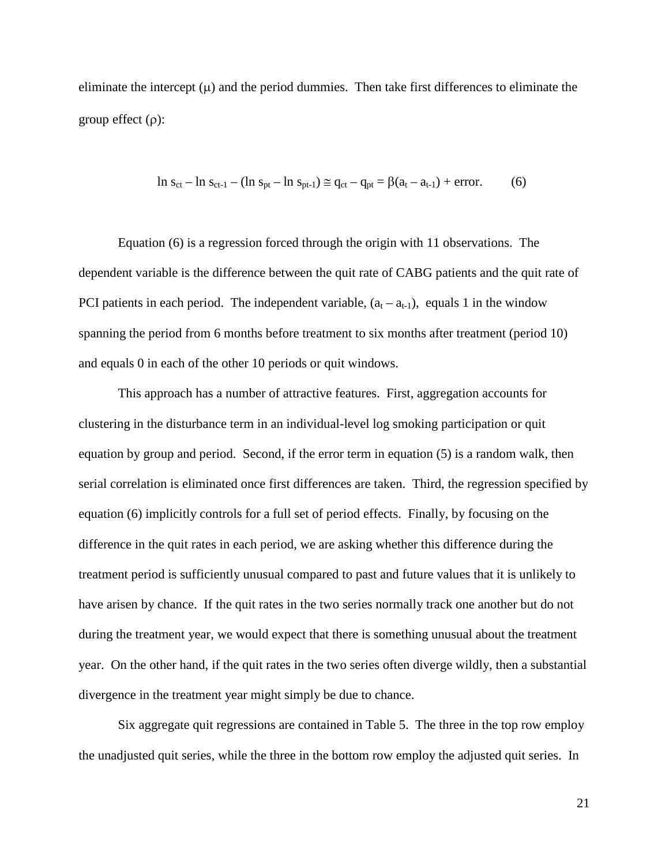eliminate the intercept  $(\mu)$  and the period dummies. Then take first differences to eliminate the group effect  $(\rho)$ :

$$
\ln s_{ct} - \ln s_{ct-1} - (\ln s_{pt} - \ln s_{pt-1}) \approx q_{ct} - q_{pt} = \beta (a_t - a_{t-1}) + \text{error.} \tag{6}
$$

Equation (6) is a regression forced through the origin with 11 observations. The dependent variable is the difference between the quit rate of CABG patients and the quit rate of PCI patients in each period. The independent variable,  $(a_t - a_{t-1})$ , equals 1 in the window spanning the period from 6 months before treatment to six months after treatment (period 10) and equals 0 in each of the other 10 periods or quit windows.

This approach has a number of attractive features. First, aggregation accounts for clustering in the disturbance term in an individual-level log smoking participation or quit equation by group and period. Second, if the error term in equation (5) is a random walk, then serial correlation is eliminated once first differences are taken. Third, the regression specified by equation (6) implicitly controls for a full set of period effects. Finally, by focusing on the difference in the quit rates in each period, we are asking whether this difference during the treatment period is sufficiently unusual compared to past and future values that it is unlikely to have arisen by chance. If the quit rates in the two series normally track one another but do not during the treatment year, we would expect that there is something unusual about the treatment year. On the other hand, if the quit rates in the two series often diverge wildly, then a substantial divergence in the treatment year might simply be due to chance.

Six aggregate quit regressions are contained in Table 5. The three in the top row employ the unadjusted quit series, while the three in the bottom row employ the adjusted quit series. In

21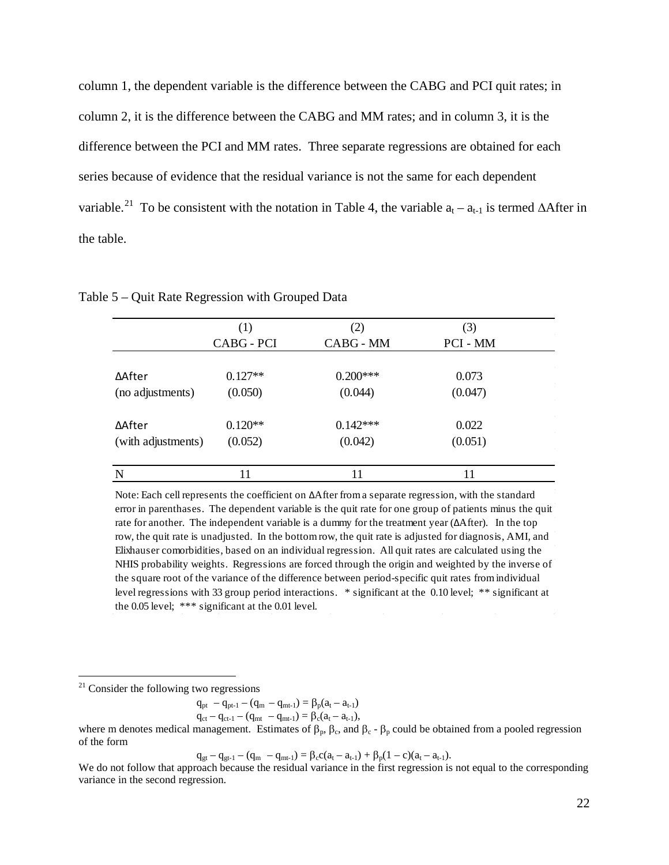column 1, the dependent variable is the difference between the CABG and PCI quit rates; in column 2, it is the difference between the CABG and MM rates; and in column 3, it is the difference between the PCI and MM rates. Three separate regressions are obtained for each series because of evidence that the residual variance is not the same for each dependent variable.<sup>[21](#page-22-0)</sup> To be consistent with the notation in Table 4, the variable  $a_t - a_{t-1}$  is termed ∆After in the table.

|                    | (1)        | (2)        | (3)      |  |
|--------------------|------------|------------|----------|--|
|                    | CABG - PCI | CABG - MM  | PCI - MM |  |
|                    |            |            |          |  |
| ∆After             | $0.127**$  | $0.200***$ | 0.073    |  |
| (no adjustments)   | (0.050)    | (0.044)    | (0.047)  |  |
|                    |            |            |          |  |
| ∆After             | $0.120**$  | $0.142***$ | 0.022    |  |
| (with adjustments) | (0.052)    | (0.042)    | (0.051)  |  |
| N                  | 11         | 11         | 11       |  |

Table 5 – Quit Rate Regression with Grouped Data

Note: Each cell represents the coefficient on ∆After from a separate regression, with the standard error in parenthases. The dependent variable is the quit rate for one group of patients minus the quit rate for another. The independent variable is a dummy for the treatment year (∆After). In the top row, the quit rate is unadjusted. In the bottom row, the quit rate is adjusted for diagnosis, AMI, and Elixhauser comorbidities, based on an individual regression. All quit rates are calculated using the NHIS probability weights. Regressions are forced through the origin and weighted by the inverse of the square root of the variance of the difference between period-specific quit rates from individual level regressions with 33 group period interactions. \* significant at the 0.10 level; \*\* significant at the 0.05 level; \*\*\* significant at the 0.01 level.

$$
q_{pt} \ -q_{pt\text{-}1} - (q_m \ -q_{mt\text{-}1}) = \beta_p(a_t - a_{t\text{-}1})
$$

$$
q_{ct} - q_{ct-1} - (q_{mt} - q_{mt-1}) = \beta_c (a_t - a_{t-1}),
$$

<span id="page-24-0"></span>where m denotes medical management. Estimates of  $\beta_p$ ,  $\beta_c$ , and  $\beta_c$  -  $\beta_p$  could be obtained from a pooled regression of the form

 $q_{gt} - q_{gt-1} - (q_m - q_{mt-1}) = \beta_c c(a_t - a_{t-1}) + \beta_p (1 - c)(a_t - a_{t-1}).$ 

We do not follow that approach because the residual variance in the first regression is not equal to the corresponding variance in the second regression.

 $21$  Consider the following two regressions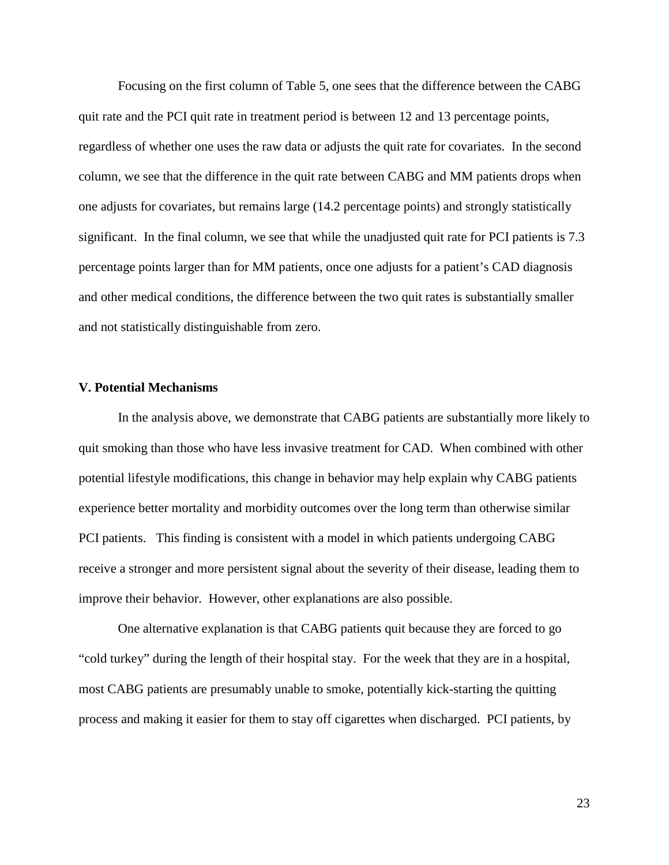Focusing on the first column of Table 5, one sees that the difference between the CABG quit rate and the PCI quit rate in treatment period is between 12 and 13 percentage points, regardless of whether one uses the raw data or adjusts the quit rate for covariates. In the second column, we see that the difference in the quit rate between CABG and MM patients drops when one adjusts for covariates, but remains large (14.2 percentage points) and strongly statistically significant. In the final column, we see that while the unadjusted quit rate for PCI patients is 7.3 percentage points larger than for MM patients, once one adjusts for a patient's CAD diagnosis and other medical conditions, the difference between the two quit rates is substantially smaller and not statistically distinguishable from zero.

#### **V. Potential Mechanisms**

In the analysis above, we demonstrate that CABG patients are substantially more likely to quit smoking than those who have less invasive treatment for CAD. When combined with other potential lifestyle modifications, this change in behavior may help explain why CABG patients experience better mortality and morbidity outcomes over the long term than otherwise similar PCI patients. This finding is consistent with a model in which patients undergoing CABG receive a stronger and more persistent signal about the severity of their disease, leading them to improve their behavior. However, other explanations are also possible.

One alternative explanation is that CABG patients quit because they are forced to go "cold turkey" during the length of their hospital stay. For the week that they are in a hospital, most CABG patients are presumably unable to smoke, potentially kick-starting the quitting process and making it easier for them to stay off cigarettes when discharged. PCI patients, by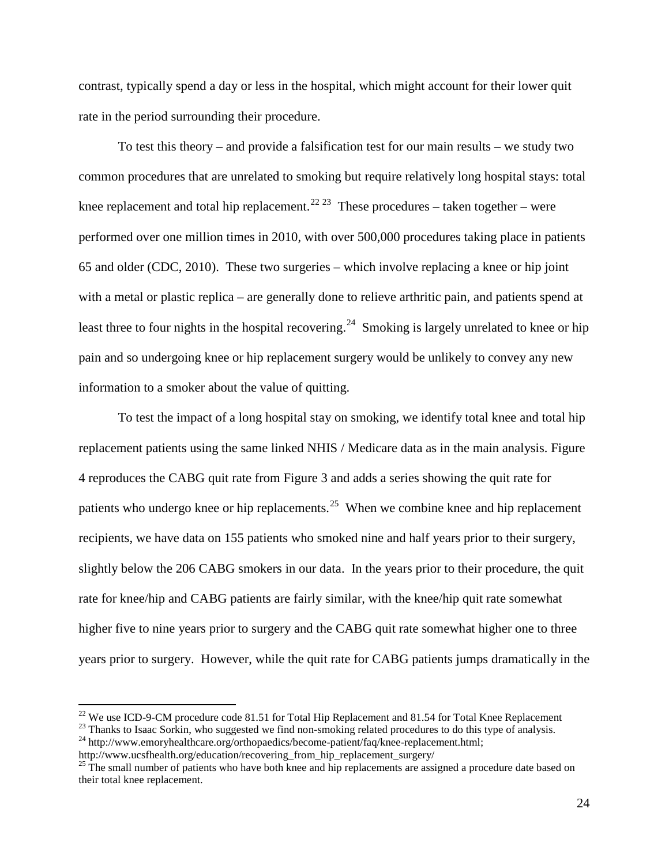contrast, typically spend a day or less in the hospital, which might account for their lower quit rate in the period surrounding their procedure.

To test this theory – and provide a falsification test for our main results – we study two common procedures that are unrelated to smoking but require relatively long hospital stays: total knee replacement and total hip replacement.<sup>[22](#page-24-0) [23](#page-26-0)</sup> These procedures – taken together – were performed over one million times in 2010, with over 500,000 procedures taking place in patients 65 and older (CDC, 2010). These two surgeries – which involve replacing a knee or hip joint with a metal or plastic replica – are generally done to relieve arthritic pain, and patients spend at least three to four nights in the hospital recovering.<sup>24</sup> Smoking is largely unrelated to knee or hip pain and so undergoing knee or hip replacement surgery would be unlikely to convey any new information to a smoker about the value of quitting.

To test the impact of a long hospital stay on smoking, we identify total knee and total hip replacement patients using the same linked NHIS / Medicare data as in the main analysis. Figure 4 reproduces the CABG quit rate from Figure 3 and adds a series showing the quit rate for patients who undergo knee or hip replacements.<sup>[25](#page-26-2)</sup> When we combine knee and hip replacement recipients, we have data on 155 patients who smoked nine and half years prior to their surgery, slightly below the 206 CABG smokers in our data. In the years prior to their procedure, the quit rate for knee/hip and CABG patients are fairly similar, with the knee/hip quit rate somewhat higher five to nine years prior to surgery and the CABG quit rate somewhat higher one to three years prior to surgery. However, while the quit rate for CABG patients jumps dramatically in the

<span id="page-26-0"></span>

<sup>&</sup>lt;sup>22</sup> We use ICD-9-CM procedure code 81.51 for Total Hip Replacement and 81.54 for Total Knee Replacement  $^{23}$  Thanks to Isaac Sorkin, who suggested we find non-smoking related procedures to do this type of analysis.<br><sup>24</sup>

<span id="page-26-1"></span>http://www.ucsfhealth.org/education/recovering\_from\_hip\_replacement\_surgery/

<span id="page-26-2"></span> $25$  The small number of patients who have both knee and hip replacements are assigned a procedure date based on their total knee replacement.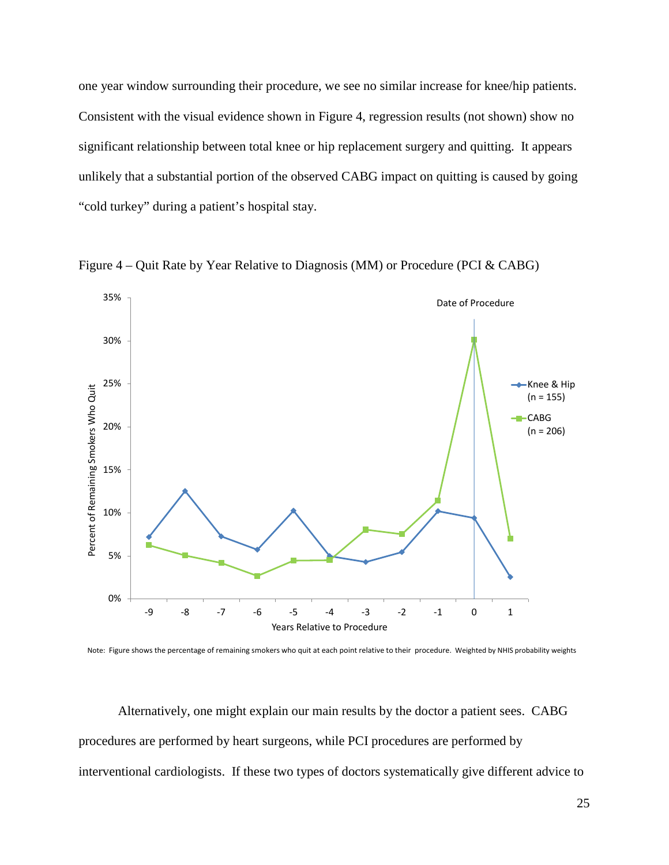one year window surrounding their procedure, we see no similar increase for knee/hip patients. Consistent with the visual evidence shown in Figure 4, regression results (not shown) show no significant relationship between total knee or hip replacement surgery and quitting. It appears unlikely that a substantial portion of the observed CABG impact on quitting is caused by going "cold turkey" during a patient's hospital stay.



Figure 4 – Quit Rate by Year Relative to Diagnosis (MM) or Procedure (PCI & CABG)

Note: Figure shows the percentage of remaining smokers who quit at each point relative to their procedure. Weighted by NHIS probability weights

Alternatively, one might explain our main results by the doctor a patient sees. CABG procedures are performed by heart surgeons, while PCI procedures are performed by interventional cardiologists. If these two types of doctors systematically give different advice to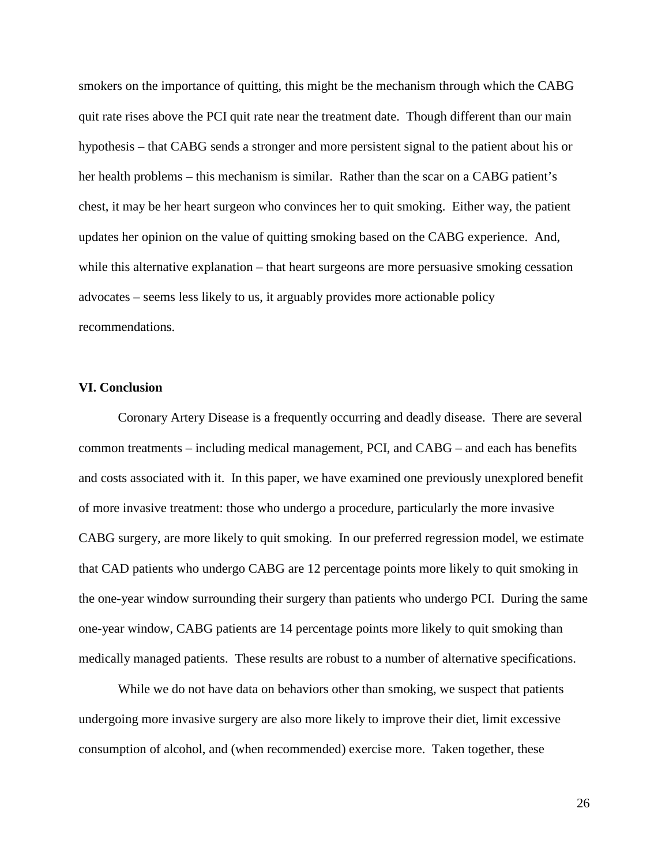smokers on the importance of quitting, this might be the mechanism through which the CABG quit rate rises above the PCI quit rate near the treatment date. Though different than our main hypothesis – that CABG sends a stronger and more persistent signal to the patient about his or her health problems – this mechanism is similar. Rather than the scar on a CABG patient's chest, it may be her heart surgeon who convinces her to quit smoking. Either way, the patient updates her opinion on the value of quitting smoking based on the CABG experience. And, while this alternative explanation – that heart surgeons are more persuasive smoking cessation advocates – seems less likely to us, it arguably provides more actionable policy recommendations.

#### **VI. Conclusion**

Coronary Artery Disease is a frequently occurring and deadly disease. There are several common treatments – including medical management, PCI, and CABG – and each has benefits and costs associated with it. In this paper, we have examined one previously unexplored benefit of more invasive treatment: those who undergo a procedure, particularly the more invasive CABG surgery, are more likely to quit smoking. In our preferred regression model, we estimate that CAD patients who undergo CABG are 12 percentage points more likely to quit smoking in the one-year window surrounding their surgery than patients who undergo PCI. During the same one-year window, CABG patients are 14 percentage points more likely to quit smoking than medically managed patients. These results are robust to a number of alternative specifications.

While we do not have data on behaviors other than smoking, we suspect that patients undergoing more invasive surgery are also more likely to improve their diet, limit excessive consumption of alcohol, and (when recommended) exercise more. Taken together, these

26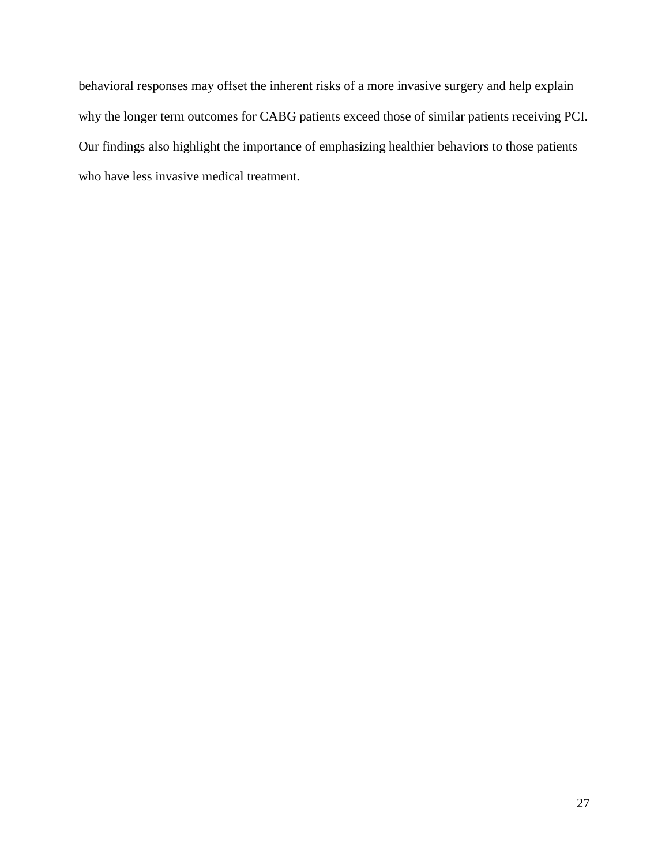behavioral responses may offset the inherent risks of a more invasive surgery and help explain why the longer term outcomes for CABG patients exceed those of similar patients receiving PCI. Our findings also highlight the importance of emphasizing healthier behaviors to those patients who have less invasive medical treatment.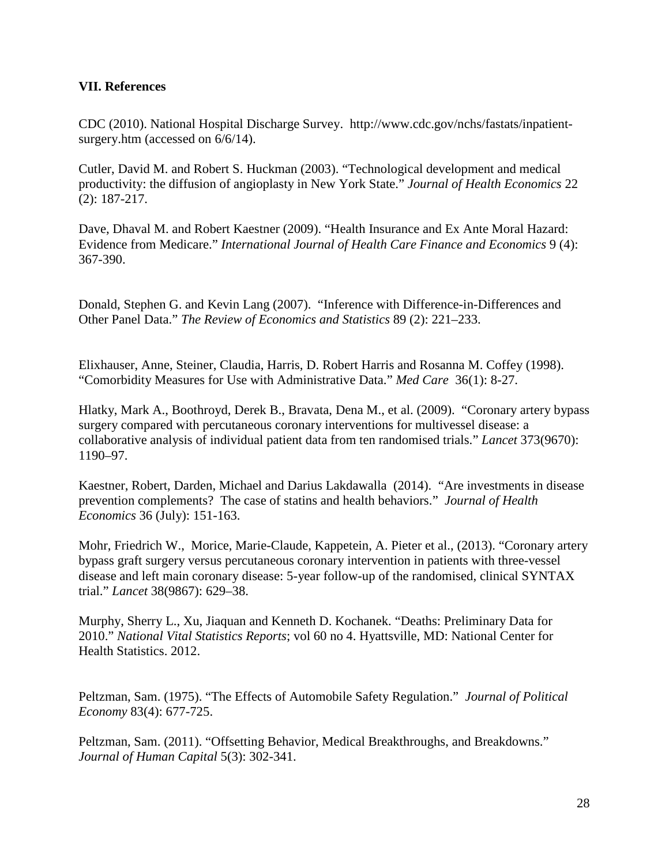#### **VII. References**

CDC (2010). National Hospital Discharge Survey. http://www.cdc.gov/nchs/fastats/inpatientsurgery.htm (accessed on 6/6/14).

Cutler, David M. and Robert S. Huckman (2003). "Technological development and medical productivity: the diffusion of angioplasty in New York State." *Journal of Health Economics* 22 (2): 187-217.

Dave, Dhaval M. and Robert Kaestner (2009). "Health Insurance and Ex Ante Moral Hazard: Evidence from Medicare." *International Journal of Health Care Finance and Economics* 9 (4): 367-390.

Donald, Stephen G. and Kevin Lang (2007). "Inference with Difference-in-Differences and Other Panel Data." *The Review of Economics and Statistics* 89 (2): 221–233.

Elixhauser, Anne, Steiner, Claudia, Harris, D. Robert Harris and Rosanna M. Coffey (1998). "Comorbidity Measures for Use with Administrative Data." *Med Care* 36(1): 8-27.

Hlatky, Mark A., Boothroyd, Derek B., Bravata, Dena M., et al. (2009). "Coronary artery bypass surgery compared with percutaneous coronary interventions for multivessel disease: a collaborative analysis of individual patient data from ten randomised trials." *Lancet* 373(9670): 1190–97.

Kaestner, Robert, Darden, Michael and Darius Lakdawalla (2014). "Are investments in disease prevention complements? The case of statins and health behaviors." *Journal of Health Economics* 36 (July): 151-163.

Mohr, Friedrich W., Morice, Marie-Claude, Kappetein, A. Pieter et al., (2013). "Coronary artery bypass graft surgery versus percutaneous coronary intervention in patients with three-vessel disease and left main coronary disease: 5-year follow-up of the randomised, clinical SYNTAX trial." *Lancet* 38(9867): 629–38.

Murphy, Sherry L., Xu, Jiaquan and Kenneth D. Kochanek. "Deaths: Preliminary Data for 2010." *National Vital Statistics Reports*; vol 60 no 4. Hyattsville, MD: National Center for Health Statistics. 2012.

Peltzman, Sam. (1975). "The Effects of Automobile Safety Regulation." *Journal of Political Economy* 83(4): 677-725.

Peltzman, Sam. (2011). "Offsetting Behavior, Medical Breakthroughs, and Breakdowns." *Journal of Human Capital* 5(3): 302-341.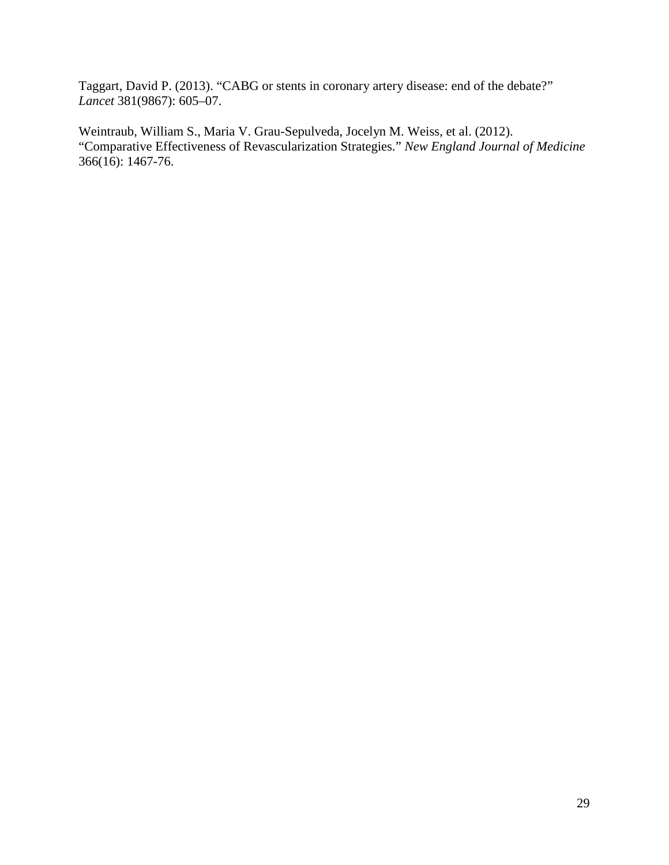Taggart, David P. (2013). "CABG or stents in coronary artery disease: end of the debate?" *Lancet* 381(9867): 605–07.

Weintraub, William S., Maria V. Grau-Sepulveda, Jocelyn M. Weiss, et al. (2012). "Comparative Effectiveness of Revascularization Strategies." *New England Journal of Medicine* 366(16): 1467-76.